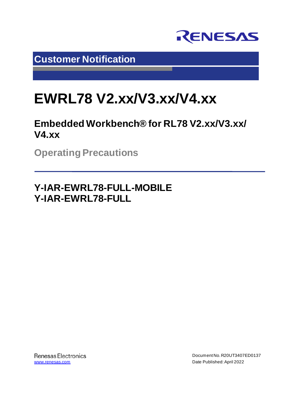

**Customer Notification**

# **EWRL78 V2.xx/V3.xx/V4.xx**

**Embedded Workbench® for RL78 V2.xx/V3.xx/ V4.xx**

**Operating Precautions**

**Y-IAR-EWRL78-FULL-MOBILE Y-IAR-EWRL78-FULL**

**Renesas Electronics** [www.renesas.com](http://www.renesas.com/)

Document No. R20UT3407ED0137 Date Published:April 2022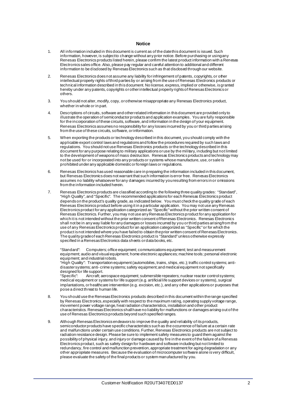#### **Notice**

- 1. All information included in this document is current as of the date this document is issued. Such information, however, is subject to change without any prior notice. Before purchasing or using any Renesas Electronics products listed herein, please confirm the latest product information with a Renesas Electronics sales office. Also, please pay regular and careful attention to additional and different information to be disclosed by Renesas Electronics such as that disclosed through our website.
- 2. Renesas Electronics does not assume any liability for infringement of patents, copyrights, or other intellectual property rights of third parties by or arising from the use of Renesas Electronics products or technical information described in this document. No license, express, implied or otherwise, is granted hereby under any patents, copyrights or other intellectual property rights of Renesas Electronics or others.
- 3. You should not alter, modify, copy, or otherwise misappropriate any Renesas Electronics product, whether in whole or in part.
- 4. Descriptions of circuits, software and other related information in this document are provided only to illustrate the operation of semiconductor products and application examples. You are fully responsible for the incorporation of these circuits, software, and information in the design of your equipment. Renesas Electronics assumes no responsibility for any losses incurred by you or third parties arising from the use of these circuits, software, or information.
- 5. When exporting the products or technology described in this document, you should comply with the applicable export control laws and regulations and follow the procedures required by such laws and regulations. You should not use Renesas Electronics products or the technology described in this document for any purpose relating to military applications or use by the military, including but not limited to the development of weapons of mass destruction. Renesas Electronics products and technology may not be used for or incorporated into any products or systems whose manufacture, use, or sale is prohibited under any applicable domestic or foreign laws or regulations.
- 6. Renesas Electronics has used reasonable care in preparing the information included in this document, but Renesas Electronics does not warrant that such information is error free. Renesas Electronics assumes no liability whatsoever for any damages incurred by you resulting from errors in or omissions from the information included herein.
- 7. Renesas Electronics products are classified according to the following three quality grades: "Standard", "High Quality", and "Specific". The recommended applications for each Renesas Electronics product depends on the product's quality grade, as indicated below. You must check the quality grade of each Renesas Electronics product before using it in a particular application. You may not use any Renesas Electronics product for any application categorized as "Specific" without the prior written consent of Renesas Electronics. Further, you may not use any Renesas Electronics product for any application for which it is not intended without the prior written consent of Renesas Electronics. Renesas Electronics shall not be in any way liable for any damages or losses incurred by you or third parties arising from the use of any Renesas Electronics product for an application categorized as "Specific" or for which the product is not intended where you have failed to obtain the prior written consent of Renesas Electronics. The quality grade of each Renesas Electronics product is "Standard" unless otherwise expressly specified in a Renesas Electronics data sheets or data books, etc.

"Standard": Computers; office equipment; communications equipment; test and measurement equipment; audio and visual equipment; home electronic appliances; machine tools; personal electronic equipment; and industrial robots.

"High Quality": Transportation equipment (automobiles, trains, ships, etc.); traffic control systems; antidisaster systems; anti-crime systems; safety equipment; and medical equipment not specifically designed for life support.<br>"Specific": Aircraft; a

Aircraft; aerospace equipment; submersible repeaters; nuclear reactor control systems; medical equipment or systems for life support (e.g. artificial life support devices or systems), surgical implantations, or healthcare intervention (e.g. excision, etc.), and any other applications or purposes that pose a direct threat to human life.

- 8. You should use the Renesas Electronics products described in this document within the range specified by Renesas Electronics, especially with respect to the maximum rating, operating supply voltage range, movement power voltage range, heat radiation characteristics, installation and other product characteristics. Renesas Electronics shall have no liability for malfunctions or damages arising out of the use of Renesas Electronics products beyond such specified ranges.
- 9. Although Renesas Electronics endeavors to improve the quality and reliability of its products, semiconductor products have specific characteristics such as the occurrence of failure at a certain rate and malfunctions under certain use conditions. Further, Renesas Electronics products are not subject to radiation resistance design. Please be sure to implement safety measures to guard them against the possibility of physical injury, and injury or damage caused by fire in the event of the failure of a Renesas Electronics product, such as safety design for hardware and software including but not limited to redundancy, fire control and malfunction prevention, appropriate treatment for aging degradation or any other appropriate measures. Because the evaluation of microcomputer software alone is very difficult, please evaluate the safety of the final products or system manufactured by you.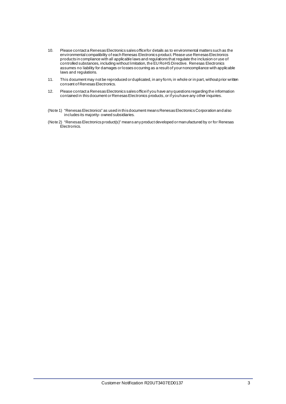- 10. Please contact a Renesas Electronics sales office for details as to environmental matters such as the environmental compatibility of each Renesas Electronics product. Please use Renesas Electronics products in compliance with all applicable laws and regulations that regulate the inclusion or use of controlled substances, including without limitation, the EU RoHS Directive. Renesas Electronics assumes no liability for damages or losses occurring as a result of your noncompliance with applicable laws and regulations.
- 11. This document may not be reproduced or duplicated, in any form, in whole or in part, without prior written consent of Renesas Electronics.
- 12. Please contact a Renesas Electronics sales office if you have any questions regarding the information contained in this document or Renesas Electronics products, or if you have any other inquiries.
- (Note 1) "Renesas Electronics" as used in this document means Renesas Electronics Corporation and also includes its majority- owned subsidiaries.
- (Note 2) "Renesas Electronics product(s)" means any product developed or manufactured by or for Renesas Electronics.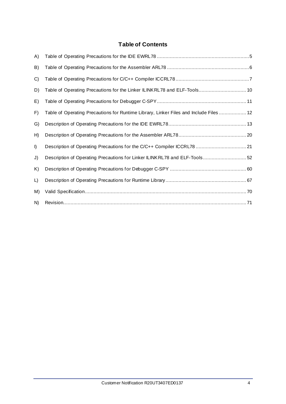#### **Table of Contents**

| A) |                                                                                        |
|----|----------------------------------------------------------------------------------------|
| B) |                                                                                        |
| C) |                                                                                        |
| D) | Table of Operating Precautions for the Linker ILINKRL78 and ELF-Tools 10               |
| E) |                                                                                        |
| F) | Table of Operating Precautions for Runtime Library, Linker Files and Include Files  12 |
| G) |                                                                                        |
| H) |                                                                                        |
| I) | Description of Operating Precautions for the C/C++ Compiler ICCRL78  21                |
| J) | Description of Operating Precautions for Linker ILINKRL78 and ELF-Tools 52             |
| K) |                                                                                        |
| L) |                                                                                        |
| M) |                                                                                        |
| N) |                                                                                        |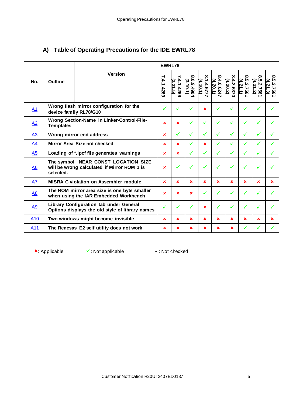|                 |                                     |                                                                                            | <b>EWRL78</b> |               |                         |                                       |                        |                        |                       |                          |                        |
|-----------------|-------------------------------------|--------------------------------------------------------------------------------------------|---------------|---------------|-------------------------|---------------------------------------|------------------------|------------------------|-----------------------|--------------------------|------------------------|
| No.             | <b>Outline</b>                      | <b>Version</b>                                                                             | 7.4.1.4269    | 21.5<br>14269 | 0.9.4904<br>(3.<br>io.1 | 1.4.577<br><u>(4.</u><br>$\cdot 10.1$ | 8.4.0.6247<br>(4.20.1) | 8.4.2.6370<br>(4.20.2) | 8.5.2.756<br>(4.21.1) | $8.5.2.7561$<br>(4.21.2) | 8.5.2.7561<br>(4.21.3) |
| A1              |                                     | Wrong flash mirror configuration for the<br>device family RL78/G10                         | ✓             | ✓             | ✓                       | ×                                     |                        |                        |                       |                          |                        |
| A2              | <b>Templates</b>                    | Wrong Section-Name in Linker-Control-File-                                                 | ×             | ×             | ✓                       | ✓                                     |                        |                        |                       |                          |                        |
| <u>A3</u>       |                                     | Wrong mirror end address                                                                   | ×             | ✓             | ✓                       | ✓                                     | ✓                      | $\checkmark$           | ✓                     | ✓                        |                        |
| A <sub>4</sub>  | <b>Mirror Area Size not checked</b> | ×                                                                                          | ×             | ✓             | ×                       | ✓                                     | ✓                      | ✓                      | ✓                     |                          |                        |
| A <sub>5</sub>  |                                     | Loading of *.ipcf file generates warnings                                                  | $\mathbf x$   | $\mathbf x$   | ✓                       | ✓                                     | ✓                      | ✓                      | $\checkmark$          | ✓                        |                        |
| A <sub>6</sub>  | selected.                           | The symbol _NEAR_CONST_LOCATION_SIZE<br>will be wrong calculated if Mirror ROM 1 is        | $\mathbf x$   | ✓             | ✓                       | $\checkmark$                          | ✓                      | ✓                      | ✓                     |                          |                        |
| A7              |                                     | <b>MISRA C violation on Assembler module</b>                                               | $\mathbf x$   | ×             | ×                       | ×                                     | ×                      | ×                      | ×                     | ×                        | $\mathbf x$            |
| <u>A8</u>       |                                     | The ROM mirror area size is one byte smaller<br>when using the IAR Embedded Workbench      | $\mathbf x$   | ×             | ×                       |                                       |                        |                        |                       |                          |                        |
| <u>A9</u>       |                                     | Library Configuration tab under General<br>Options displays the old style of library names | ✓             |               | ✓                       | ×                                     |                        |                        | $\checkmark$          |                          |                        |
| A <sub>10</sub> |                                     | Two windows might become invisible                                                         | ×             | ×             | ×                       | ×                                     | ×                      | ×                      | ×                     | ×                        | ×                      |
| A <sub>11</sub> |                                     | The Renesas E2 self utility does not work                                                  | $\mathbf x$   | ×             | ×                       | ×                                     | ×                      | ×                      | $\checkmark$          |                          |                        |

## <span id="page-4-0"></span>**A) Table of Operating Precautions for the IDE EWRL78**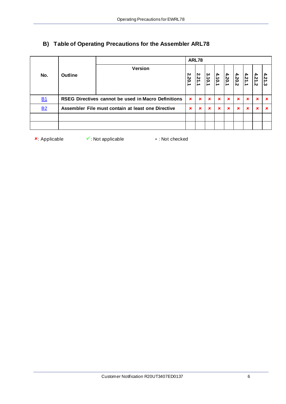|           |                |                                                     |             | ARL78                            |                      |                          |             |                      |             |                            |            |
|-----------|----------------|-----------------------------------------------------|-------------|----------------------------------|----------------------|--------------------------|-------------|----------------------|-------------|----------------------------|------------|
| No.       | <b>Outline</b> | <b>Version</b>                                      | 2.20.<br>∸  | 2.21<br>$\overline{\phantom{a}}$ | بہ<br>$\vec{0}$<br>r | $\mathbf{A}_{1}$<br>10.1 | 4.20.1      | $\mathbf{A}$<br>20.2 | 4.21<br>' ⇒ | 4.21<br>$\dot{\mathbf{v}}$ | 4.21<br>نځ |
| <b>B1</b> |                | RSEG Directives cannot be used in Macro Definitions | $\mathbf x$ | $\mathbf x$                      | $\mathbf x$          | $\mathbf x$              | $\mathbf x$ | $\mathbf x$          | $\mathbf x$ | $\mathbf x$                | ×          |
| <b>B2</b> |                | Assembler File must contain at least one Directive  | ×           | ×                                | $\mathbf x$          | $\mathbf x$              | $\mathbf x$ | $\mathbf x$          | ×           | ×                          |            |
|           |                |                                                     |             |                                  |                      |                          |             |                      |             |                            |            |
|           |                |                                                     |             |                                  |                      |                          |             |                      |             |                            |            |

## <span id="page-5-0"></span>**B) Table of Operating Precautions for the Assembler ARL78**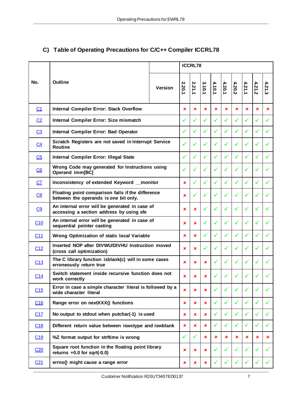|                         |                                                                                            |                |             |              | <b>ICCRL78</b> |              |              |              |              |              |              |
|-------------------------|--------------------------------------------------------------------------------------------|----------------|-------------|--------------|----------------|--------------|--------------|--------------|--------------|--------------|--------------|
| No.                     | <b>Outline</b>                                                                             | <b>Version</b> | 2.20.1      | 2.21.1       | 3.10.1         | 4.10.1       | 4.20.1       | 4.20.2       | 4.21.1       | 4.21.2       | 4.21.3       |
| C <sub>1</sub>          | <b>Internal Compiler Error: Stack Overflow</b>                                             | ×              | $\mathbf x$ | $\mathbf x$  | ×              | ×            | $\mathbf x$  | $\mathbf x$  | $\mathbf x$  | $\mathbf x$  |              |
| C <sub>2</sub>          | Internal Compiler Error: Size mismatch                                                     |                | ✓           | $\checkmark$ | ✓              | ✓            | ✓            | ✓            | ✓            | ✓            |              |
| C <sub>3</sub>          | Internal Compiler Error: Bad Operator                                                      |                | ✓           | ✓            | $\checkmark$   | $\checkmark$ | ✓            | $\checkmark$ | ✓            | $\checkmark$ |              |
| C <sub>4</sub>          | Scratch Registers are not saved in Interrupt Service<br><b>Routine</b>                     |                | ✓           | ✓            | $\checkmark$   | ✓            | ✓            | ✓            | ✓            | ✓            |              |
| C <sub>5</sub>          | Internal Compiler Error: Illegal State                                                     |                | ✓           |              | $\checkmark$   | ✓            | ✓            |              |              |              |              |
| $\underline{\text{C6}}$ | Wrong Code may generated for Instructions using<br>Operand imm[BC]                         |                | ✓           | $\checkmark$ | $\checkmark$   | ✓            | ✓            | $\checkmark$ | $\checkmark$ | ✓            |              |
| CZ                      | Inconsistency of extended Keyword _monitor                                                 |                | ×           | $\checkmark$ | $\checkmark$   | $\checkmark$ | ✓            | ✓            | ✓            | ✓            |              |
| C8                      | Floating point comparison fails if the difference<br>between the operands is one bit only. |                |             |              | ✓              | ✓            | ✓            | ✓            | ✓            | ✓            |              |
| C9                      | An internal error will be generated in case of<br>accessing a section address by using sfe |                |             |              |                | $\checkmark$ | ✓            |              | ✓            |              |              |
| C10                     | An internal error will be generated in case of<br>sequential pointer casting               |                | ×           | ×            | $\checkmark$   | $\checkmark$ | ✓            | ✓            | ✓            | ✓            |              |
| C <sub>11</sub>         | Wrong Optimization of static local Variable                                                |                | ×           | $\mathbf x$  | ✓              | ✓            | ✓            | ✓            | ✓            | ✓            |              |
| C12                     | Inserted NOP after DIVWU/DIVHU Instruction moved<br>(cross call optimization)              |                | $\mathbf x$ | $\mathbf x$  | $\checkmark$   | ✓            | ✓            | ✓            | ✓            | ✓            |              |
| C13                     | The C library function isblank(c) will in some cases<br>erroneously return true            |                | ×           | $\mathbf x$  | ×              | ✓            | ✓            | ✓            | ✓            |              |              |
| C14                     | Switch statement inside recursive function does not<br>work correctly                      |                | ×           | ×.           | $\mathbf x$    |              | ✓            | ✓            | ✓            |              |              |
| C15                     | Error in case a simple character literal is followed by a<br>wide character literal        |                | ×           | ×            | ×              | ✓            | ✓            | $\checkmark$ | ✓            | $\checkmark$ | ✓            |
| C16                     | Range error on nextXXX() functions                                                         |                | ×           | ×            | ×              | ✓            | ✓            | ✓            | ✓            | $\checkmark$ | ✓            |
| C17                     | No output to stdout when putchar(-1) is used                                               |                | ×           | ×            | ×              | ✓            | $\checkmark$ | ✓            | $\checkmark$ | $\checkmark$ | $\checkmark$ |
| C18                     | Different return value between iswctype and iswblank                                       |                |             |              | ×              | ✓            | ✓            | ✓            | ✓            | ✓            | ✓            |
| C19                     | %Z format output for strftime is wrong                                                     |                | ✓           | ✓            | ×              | ×            | ×            | ×            | ×            | ×            | ×            |
| C <sub>20</sub>         | Square root function in the floating point library<br>returns $+0.0$ for sqrt(-0.0)        |                |             |              | ×              | ✓            | ✓            | ✓            | ✓            | ✓            |              |
| C <sub>21</sub>         | errno() might cause a range error                                                          |                |             |              | ×              |              |              |              |              |              |              |

## <span id="page-6-0"></span>**C) Table of Operating Precautions for C/C++ Compiler ICCRL78**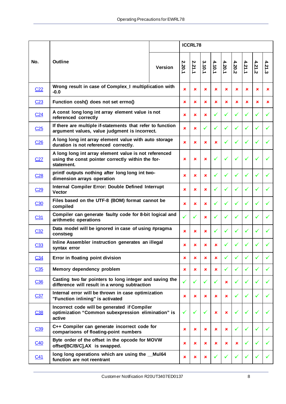|                 |                                                                                                                          |                |                | <b>ICCRL78</b> |                |                           |              |              |              |              |        |
|-----------------|--------------------------------------------------------------------------------------------------------------------------|----------------|----------------|----------------|----------------|---------------------------|--------------|--------------|--------------|--------------|--------|
| No.             | <b>Outline</b>                                                                                                           | <b>Version</b> | 2.20.1         | 2.21.1         | 3.10.1         | 4.10.1                    | 4.20.1       | 4.20.2       | 4.21.1       | 4.21.2       | 4.21.3 |
| C <sub>22</sub> | Wrong result in case of Complex_I multiplication with<br>$-0.0$                                                          |                |                |                | ×              | ×                         | ×            | ×            | ×            | ×            | ×      |
| C <sub>23</sub> | Function cosh() does not set errno()                                                                                     |                | $\pmb{\times}$ | ×              | ×              | $\mathbf x$               | ×            | ×            | $\mathbf x$  | ×            | ×      |
| C <sub>24</sub> | A const long long int array element value is not<br>referenced correctly                                                 |                | $\pmb{\times}$ | ×              | $\mathbf x$    | ✓                         | ✓            | ✓            | $\checkmark$ | ✓            | ✓      |
| C <sub>25</sub> | If there are multiple if-statements that refer to function<br>argument values, value judgment is incorrect.              |                | $\mathbf x$    | ×              | ✓              | $\checkmark$              | ✓            |              | ✓            | ✓            | ✓      |
| C <sub>26</sub> | A long long int array element value with auto storage<br>duration is not referenced correctly.                           |                | $\mathbf x$    | ×              | ×              | ×                         | ✓            |              |              |              |        |
| C <sub>27</sub> | A long long int array element value is not referenced<br>using the const pointer correctly within the for-<br>statement. |                | $\mathbf x$    | $\mathbf x$    | $\mathbf x$    | ✓                         | ✓            |              |              |              |        |
| C <sub>28</sub> | printf outputs nothing after long long int two-<br>dimension arrays operation                                            |                | $\mathbf x$    | ×              | ×              | $\checkmark$              | ✓            | ✓            | ✓            | ✓            |        |
| C <sub>29</sub> | Internal Compiler Error: Double Defined Interrupt<br><b>Vector</b>                                                       |                | $\pmb{\times}$ | ×              | ×              |                           | ✓            | ✓            | ✓            |              |        |
| C30             | Files based on the UTF-8 (BOM) format cannot be<br>compiled                                                              |                | ×              | ×              | ×              |                           | ✓            |              | ✓            | ✓            |        |
| C <sub>31</sub> | Compiler can generate faulty code for 8-bit logical and<br>arithmetic operations                                         |                | $\checkmark$   | $\checkmark$   | ×              | $\checkmark$              | ✓            |              | ✓            |              |        |
| C <sub>32</sub> | Data model will be ignored in case of using #pragma<br>constseg                                                          |                | $\pmb{\times}$ | ×              | ×              |                           | ✓            |              | ✓            | ✓            |        |
| C <sub>33</sub> | Inline Assembler instruction generates an illegal<br>syntax error                                                        |                | $\mathbf x$    | ×              | $\mathbf x$    | ×                         | ✓            | ✓            |              | ✓            |        |
| C <sub>34</sub> | Error in floating point division                                                                                         |                | ×              | ×              | ×              | ×                         |              |              |              |              |        |
| C35             | Memory dependency problem                                                                                                |                | ×              | ×              | $\pmb{\times}$ | ×                         | $\checkmark$ | $\checkmark$ | ✓            | ✓            | ✓      |
| C36             | Casting two far pointers to long integer and saving the<br>difference will result in a wrong subtraction                 |                | ✓              | ✓              | ✓              | ✓                         | ×            | ✓            | ✓            | ✓            |        |
| C <sub>37</sub> | Internal error will be thrown in case optimization<br>"Function inlining" is activated                                   |                | ×              | ×              | ×              | $\pmb{\times}$            | ×            | ✓            | $\checkmark$ | ✓            | ✓      |
| C38             | Incorrect code will be generated if Compiler<br>optimization "Common subexpression elimination" is<br>active             |                | $\checkmark$   | ✓              | ✓              | $\boldsymbol{\mathsf{x}}$ | ×            | ✓            | ✓            | ✓            |        |
| C39             | C++ Compiler can generate incorrect code for<br>comparisons of floating-point numbers                                    |                |                |                | ×              | $\mathbf x$               | ×            |              | ✓            | $\checkmark$ |        |
| C <sub>40</sub> | Byte order of the offset in the opcode for MOVW<br>offset[BC/B/C], AX is swapped.                                        |                |                | ×              | ×              | $\pmb{\times}$            | ×            | ×            | ✓            | ✓            |        |
| C <sub>41</sub> | long long operations which are using the _Mul64<br>function are not reentrant                                            |                |                |                | ×              |                           | ✓            |              |              |              |        |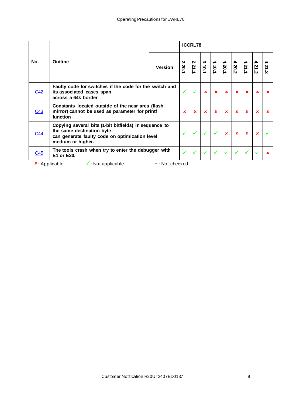|            |                                                                                                                                                           |                   | <b>ICCRL78</b> |             |             |             |                                                                             |             |             |             |      |  |
|------------|-----------------------------------------------------------------------------------------------------------------------------------------------------------|-------------------|----------------|-------------|-------------|-------------|-----------------------------------------------------------------------------|-------------|-------------|-------------|------|--|
| No.        | <b>Outline</b>                                                                                                                                            | <b>Version</b>    | 2.20.1         | 2.21.1      |             |             | $\begin{array}{c c c}\n4.21 & 4.20 \\ 4.20 & 4.10 \\ 1.20 & 1\n\end{array}$ |             |             | 4.21.2      | 4.21 |  |
| C42        | Faulty code for switches if the code for the switch and<br>its associated cases span<br>across a 64k border                                               |                   | $\checkmark$   |             | $\mathbf x$ | $\mathbf x$ | $\mathbf x$                                                                 | $\mathbf x$ | $\mathbf x$ | $\mathbf x$ |      |  |
| C43        | Constants located outside of the near area (flash<br>mirror) cannot be used as parameter for printf<br>function                                           |                   | $\mathbf x$    | $\mathbf x$ | $\mathbf x$ | $\mathbf x$ | $\mathbf x$                                                                 | $\mathbf x$ | $\mathbf x$ | $\mathbf x$ |      |  |
| <u>C44</u> | Copying several bits (1-bit bitfields) in sequence to<br>the same destination byte<br>can generate faulty code on optimization level<br>medium or higher. |                   |                |             |             |             | $\mathbf x$                                                                 | $\mathbf x$ | $\mathbf x$ | ×           |      |  |
| C45        | The tools crash when try to enter the debugger with<br>E1 or E20.                                                                                         |                   |                |             |             |             |                                                                             |             |             |             |      |  |
|            | $\checkmark$ : Not applicable<br>$\star$ Applicable                                                                                                       | $-$ : Not checked |                |             |             |             |                                                                             |             |             |             |      |  |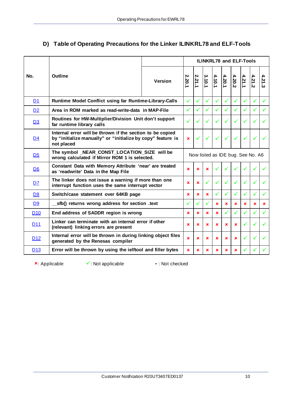## <span id="page-9-0"></span>**D) Table of Operating Precautions for the Linker ILINKRL78 and ELF-Tools**

|                       |                                                                                                                                        |                | <b>ILINKRL78 and ELF-Tools</b> |              |              |              |                |                                   |        |              |              |  |
|-----------------------|----------------------------------------------------------------------------------------------------------------------------------------|----------------|--------------------------------|--------------|--------------|--------------|----------------|-----------------------------------|--------|--------------|--------------|--|
| No.                   | <b>Outline</b>                                                                                                                         | <b>Version</b> | 2.20.1                         | 2.21.1       | 3.10.1       | 4.10.1       | 4.20.1         | 4.20.2                            | 4.21.1 | 4.21.2       | 4.21.3       |  |
| D <sub>1</sub>        | Runtime Model Conflict using far Runtime-Library-Calls                                                                                 |                | ✓                              | $\checkmark$ | ✓            | $\checkmark$ | ✓              | ✓                                 | ✓      | $\checkmark$ | $\checkmark$ |  |
| D <sub>2</sub>        | Area in ROM marked as read-write-data in MAP-File                                                                                      |                | ✓                              | ✓            | ✓            | ✓            | ✓              | ✓                                 | ✓      | ✓            | ✓            |  |
| <u>D3</u>             | Routines for HW-Multiplier/Division Unit don't support<br>far runtime library calls                                                    |                | ✓                              |              | ✓            |              |                | $\checkmark$                      |        |              |              |  |
| D <sub>4</sub>        | Internal error will be thrown if the section to be copied<br>by "initialize manually" or "initialize by copy" feature is<br>not placed |                |                                |              | $\checkmark$ | $\checkmark$ |                | $\checkmark$                      | ✓      | $\checkmark$ |              |  |
| D <sub>5</sub>        | The symbol _NEAR_CONST_LOCATION_SIZE will be<br>wrong calculated if Mirror ROM 1 is selected.                                          |                |                                |              |              |              |                | Now listed as IDE bug. See No. A6 |        |              |              |  |
| D <sub>6</sub>        | Constant Data with Memory Attribute 'near' are treated<br>as 'readwrite' Data in the Map File                                          |                | ×                              | $\mathbf x$  | $\mathbf x$  |              |                |                                   |        |              |              |  |
| D7                    | The linker does not issue a warning if more than one<br>interrupt function uses the same interrupt vector                              |                | $\mathbf x$                    | $\mathbf x$  | ✓            |              | ✓              | ✓                                 |        | ✓            | $\checkmark$ |  |
| D <sub>8</sub>        | Switch/case statement over 64KB page                                                                                                   |                | $\mathbf x$                    | ×            | $\mathbf x$  | ✓            | ✓              | ✓                                 | ✓      | ✓            | ✓            |  |
| D <sub>9</sub>        | sfb() returns wrong address for section .text                                                                                          |                | ✓                              | $\checkmark$ | $\checkmark$ | ×            | $\mathbf x$    | ×                                 | ×      | ×            | $\mathbf x$  |  |
| D <sub>10</sub>       | End address of SADDR region is wrong                                                                                                   |                | $\mathbf x$                    | ×            | $\mathbf x$  | ×            | ✓              | ✓                                 | ✓      | $\checkmark$ | ✓            |  |
| <u>D<sub>11</sub></u> | Linker can terminate with an internal error if other<br>(relevant) linking errors are present                                          |                |                                |              | $\mathbf x$  | ×            | $\pmb{\times}$ | ×                                 | ✓      | ✓            | $\checkmark$ |  |
| D <sub>12</sub>       | Internal error will be thrown in during linking object files<br>generated by the Renesas compiler                                      |                |                                |              | ×            | ×            | ×              | ×                                 | ✓      | $\checkmark$ | $\checkmark$ |  |
| D <sub>13</sub>       | Error will be thrown by using the ielftool and filler bytes                                                                            |                | $\mathbf x$                    | ×            | $\mathbf x$  | ×            | ×              | ×                                 |        |              |              |  |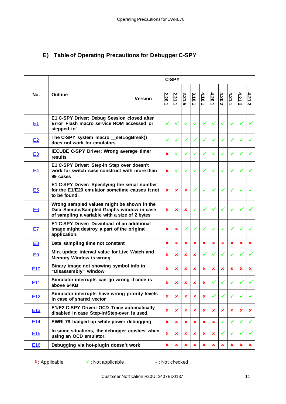## <span id="page-10-0"></span>**E) Table of Operating Precautions for Debugger C-SPY**

|                 |                                                                                                                                          |         | <b>C-SPY</b>   |                |                |              |        |             |        |        |              |              |
|-----------------|------------------------------------------------------------------------------------------------------------------------------------------|---------|----------------|----------------|----------------|--------------|--------|-------------|--------|--------|--------------|--------------|
| No.             | <b>Outline</b>                                                                                                                           | Version | 2.20.1         | 2.21.1         | 2.21.5         | 3.10.1       | 4.10.1 | 4.20.1      | 4.20.2 | 4.21.1 | 4.21.2       | 4.21.3       |
| E <sub>1</sub>  | E1 C-SPY Driver: Debug Session closed after<br>Error 'Flash macro service ROM accessed or<br>stepped in'                                 |         | $\checkmark$   |                |                |              |        |             | ✓      |        |              |              |
| E2              | The C-SPY system macro __ setLogBreak()<br>does not work for emulators                                                                   |         | ✓              | ✓              | ✓              |              | ✓      |             | ✓      |        | ✓            |              |
| E3              | IECUBE C-SPY Driver: Wrong average timer<br>results                                                                                      |         | ×              |                |                |              | ✓      |             |        |        | ✓            |              |
| E4              | E1 C-SPY Driver: Step-in Step over doesn't<br>work for switch case construct with more than<br>99 cases                                  |         | ×              | $\checkmark$   | ✓              | $\checkmark$ | ✓      |             | ✓      |        | $\checkmark$ |              |
| E <sub>5</sub>  | E1 C-SPY Driver: Specifying the serial number<br>for the E1/E20 emulator sometime causes it not<br>to be found.                          |         | ×              | ×              | $\pmb{\times}$ |              | ✓      |             | ✓      |        | ✓            |              |
| E <sub>6</sub>  | Wrong sampled values might be shown in the<br>Data Sample/Sampled Graphs window in case<br>of sampling a variable with a size of 2 bytes |         | ×              | $\mathbf x$    | $\mathbf x$    |              | ✓      |             | ✓      |        | ✓            |              |
| E7              | E1 C-SPY Driver: Download of an additional<br>image might destroy a part of the original<br>application.                                 |         | ×              | ×              | ✓              |              | ✓      |             | ✓      |        | ✓            |              |
| E <sub>8</sub>  | Data sampling time not constant                                                                                                          |         | ×              | ×              | ×              | ×            | ×      | ×           | ×      | ×      | ×            | ×            |
| E <sub>9</sub>  | Min. update interval value for Live Watch and<br><b>Memory Window is wrong</b>                                                           |         | ×              | $\pmb{\times}$ | ×              | ×            | ✓      |             | ✓      |        | ✓            | ✓            |
| E <sub>10</sub> | Binary image not showing symbol info in<br>"Disassembly" window                                                                          |         | ×              | ×              | ×              | ×            | ×      | ×           | ×      | ×      | ×            | ×            |
| E <sub>11</sub> | Simulator interrupts can go wrong if code is<br>above 64KB                                                                               |         | ×              | ×              | ×              | ×            | ×      |             | ✓      |        |              |              |
| E12             | Simulator interrupts have wrong priority levels<br>in case of shared vector                                                              |         | ×              | $\pmb{\times}$ | ×              | ×            | ×      |             | ✓      |        | $\checkmark$ | ✓            |
| E <sub>13</sub> | E1/E2 C-SPY Driver: OCD Trace automatically<br>disabled in case Step-in/Step-over is used.                                               |         | ×              | $\pmb{\times}$ | ×              | ×            | ×      | ×           | ×      | ×      | ×            | ×            |
| E <sub>14</sub> | EWRL78 hanged-up while power debugging                                                                                                   |         |                | ×              | ×              | ×            | ×      | $\mathbf x$ | ✓      | ✓      | ✓            | $\checkmark$ |
| E15             | In some situations, the debugger crashes when<br>using an OCD emulator.                                                                  |         |                | ×              | ×              | ×            | ×      | ×           | ✓      |        | $\checkmark$ | $\checkmark$ |
| E16             | Debugging via hot-plugin doesn't work                                                                                                    |         | $\pmb{\times}$ | ×              | ×              | ×            | ×      | $\mathbf x$ | ×      | ×      | ×            | ×            |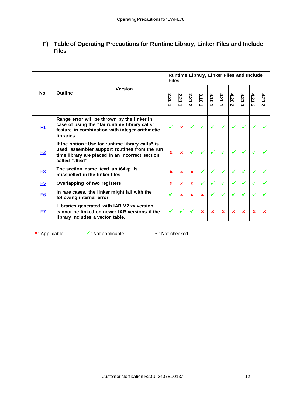|           |                          |                                                                                                                                                      | Runtime Library, Linker Files and Include<br><b>Files</b> |             |             |              |                         |              |                         |              |                |        |  |  |
|-----------|--------------------------|------------------------------------------------------------------------------------------------------------------------------------------------------|-----------------------------------------------------------|-------------|-------------|--------------|-------------------------|--------------|-------------------------|--------------|----------------|--------|--|--|
| No.       | <b>Outline</b>           | <b>Version</b>                                                                                                                                       | 2.20.1                                                    | 2.21.1      | 2.21.2      | 3.10.1       | $\frac{4.20.1}{4.10.1}$ |              | $\frac{4.21.1}{4.20.2}$ |              | $\mathbf{z}$ . | 4.21.3 |  |  |
| F1        | libraries                | Range error will be thrown by the linker in<br>case of using the "far runtime library calls"<br>feature in combination with integer arithmetic       |                                                           | $\mathbf x$ |             |              |                         |              |                         |              |                |        |  |  |
| E2        | called ".ftext"          | If the option "Use far runtime library calls" is<br>used, assembler support routines from the run<br>time library are placed in an incorrect section | $\mathbf x$                                               | $\mathbf x$ |             |              |                         |              |                         |              |                |        |  |  |
| <b>F3</b> |                          | The section name .textf_unit64kp is<br>misspelled in the linker files                                                                                | $\mathbf x$                                               | $\mathbf x$ | $\mathbf x$ |              |                         | ✓            |                         |              |                |        |  |  |
| <b>E5</b> |                          | Overlapping of two registers                                                                                                                         | $\mathbf x$                                               | $\mathbf x$ | $\mathbf x$ | $\checkmark$ | ✓                       | $\checkmark$ |                         | $\checkmark$ |                |        |  |  |
| <b>F6</b> | following internal error | In rare cases, the linker might fail with the                                                                                                        |                                                           | $\mathbf x$ | $\mathbf x$ | $\mathbf x$  | $\checkmark$            | $\checkmark$ |                         |              | $\checkmark$   |        |  |  |
| F7        |                          | Libraries generated with IAR V2.xx version<br>cannot be linked on newer IAR versions if the<br>library includes a vector table.                      | ✓                                                         |             |             | $\mathbf x$  | $\mathbf x$             | $\mathbf x$  | $\mathbf x$             | $\mathbf x$  | $\mathbf x$    | ×      |  |  |

<span id="page-11-0"></span>**F) Table of Operating Precautions for Runtime Library, Linker Files and Include Files**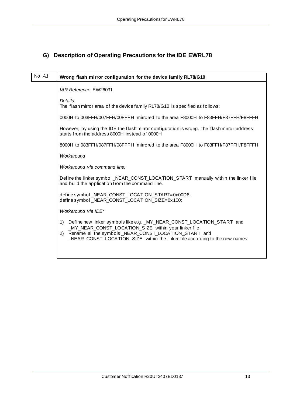## <span id="page-12-1"></span><span id="page-12-0"></span>**G) Description of Operating Precautions for the IDE EWRL78**

| No. A1 | Wrong flash mirror configuration for the device family RL78/G10                                                                                                                                                                                                                  |
|--------|----------------------------------------------------------------------------------------------------------------------------------------------------------------------------------------------------------------------------------------------------------------------------------|
|        | IAR Reference EW26031                                                                                                                                                                                                                                                            |
|        | Details<br>The flash mirror area of the device family RL78/G10 is specified as follows:                                                                                                                                                                                          |
|        | 0000H to 003FFH/007FFH/00FFFH mirrored to the area F8000H to F83FFH/F87FFH/F8FFFH                                                                                                                                                                                                |
|        | However, by using the IDE the flash mirror configuration is wrong. The flash mirror address<br>starts from the address 8000H instead of 0000H                                                                                                                                    |
|        | 8000H to 083FFH/087FFH/08FFFH mirrored to the area F8000H to F83FFH/F87FFH/F8FFFH                                                                                                                                                                                                |
|        | Workaround                                                                                                                                                                                                                                                                       |
|        | Workaround via command line:                                                                                                                                                                                                                                                     |
|        | Define the linker symbol NEAR CONST LOCATION START manually within the linker file<br>and build the application from the command line.                                                                                                                                           |
|        | define symbol NEAR CONST LOCATION START=0x00D8;<br>define symbol NEAR CONST LOCATION SIZE=0x100;                                                                                                                                                                                 |
|        | Workaround via IDE:                                                                                                                                                                                                                                                              |
|        | Define new linker symbols like e.g. _MY_NEAR_CONST_LOCATION_START and<br>1)<br>MY_NEAR_CONST_LOCATION_SIZE within your linker file<br>Rename all the symbols NEAR CONST LOCATION START and<br>(2)<br>_NEAR_CONST_LOCATION_SIZE within the linker file according to the new names |
|        |                                                                                                                                                                                                                                                                                  |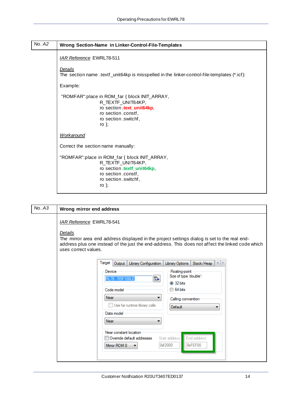<span id="page-13-0"></span>

| No. A2 | Wrong Section-Name in Linker-Control-File-Templates                                                                                                           |
|--------|---------------------------------------------------------------------------------------------------------------------------------------------------------------|
|        | <b>IAR Reference EWRL78-511</b>                                                                                                                               |
|        | Details<br>The section name .textf_unit64kp is misspelled in the linker-control-file-templates (*.icf):                                                       |
|        | Example:                                                                                                                                                      |
|        | "ROMFAR": place in ROM_far { block INIT_ARRAY,<br>R_TEXTF_UNIT64KP,<br>ro section .text_unit64kp,<br>ro section .constf,<br>ro section .switchf,<br>ro $\}$ ; |
|        | <b>Workaround</b>                                                                                                                                             |
|        | Correct the section name manually:                                                                                                                            |
|        | "ROMFAR": place in ROM_far { block INIT_ARRAY,<br>R_TEXTF_UNIT64KP,<br>ro section.textf_unit64kp,<br>ro section .constf,<br>ro section .switchf,<br>ro $\}$ ; |

| No. A3 | Wrong mirror end address                                                                                                                                                                                                                                               |
|--------|------------------------------------------------------------------------------------------------------------------------------------------------------------------------------------------------------------------------------------------------------------------------|
|        | <b>IAR Reference EWRL78-541</b><br>Details<br>The mirror area end address displayed in the project settings dialog is set to the real end-<br>address plus one instead of the just the end-address. This does not affect the linked code which<br>uses correct values. |
|        | Target<br>Output   Library Configuration<br>$-4$ $+$<br>Library Options<br>Stack/Heap                                                                                                                                                                                  |
|        | Floating-point<br>Device<br>Size of type 'double':<br><b>B+</b><br>RL78 - R5F100LE<br>32 bits<br>◯ 64 bits<br>Code model                                                                                                                                               |
|        | Near<br>Calling convention<br>Use far runtime library calls<br>Default<br>Data model                                                                                                                                                                                   |
|        | Near<br>Near constant location<br>End address:<br>Start address:<br>Ovemde default addresses                                                                                                                                                                           |
|        | 0xf2000<br>0xFEF00<br>Mirror ROM 0                                                                                                                                                                                                                                     |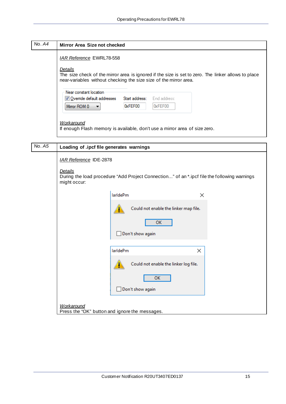<span id="page-14-0"></span>

| No. $A4$ | Mirror Area Size not checked                                                                                                                                                        |
|----------|-------------------------------------------------------------------------------------------------------------------------------------------------------------------------------------|
|          | IAR Reference EWRL78-558                                                                                                                                                            |
|          | Details<br>The size check of the mirror area is ignored if the size is set to zero. The linker allows to place<br>near-variables without checking the size size of the mirror area. |
|          | Near constant location<br>V Ovemide default addresses Start address:<br>End address:<br>0xFEF00<br>0xFEF00<br>Mirror ROM 0                                                          |
|          | Workaround<br>If enough Flash memory is available, don't use a mirror area of size zero.                                                                                            |

 $\overline{\phantom{a}}$ 

| No. A5 | Loading of .ipcf file generates warnings                 |                                                                                             |   |
|--------|----------------------------------------------------------|---------------------------------------------------------------------------------------------|---|
|        | IAR Reference IDE-2878<br><b>Details</b><br>might occur: | During the load procedure "Add Project Connection" of an *.ipcf file the following warnings |   |
|        |                                                          | <b>larldePm</b>                                                                             | × |
|        |                                                          | Could not enable the linker map file.<br>ок<br>Don't show again                             |   |
|        |                                                          | <b>larldePm</b>                                                                             | × |
|        |                                                          | Could not enable the linker log file.<br>OK<br>Don't show again                             |   |
|        | Workaround                                               | Press the "OK" button and ignore the messages.                                              |   |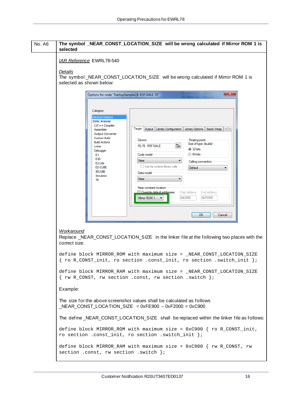<span id="page-15-1"></span><span id="page-15-0"></span>

| No. A6 | The symbol _NEAR_CONST_LOCATION_SIZE will be wrong calculated if Mirror ROM 1 is<br>selected                                                                                                                                                                                                                                                                                                                                                                                                                                                                                                                                                                                                                                                                                                                |
|--------|-------------------------------------------------------------------------------------------------------------------------------------------------------------------------------------------------------------------------------------------------------------------------------------------------------------------------------------------------------------------------------------------------------------------------------------------------------------------------------------------------------------------------------------------------------------------------------------------------------------------------------------------------------------------------------------------------------------------------------------------------------------------------------------------------------------|
|        | <b>IAR Reference EWRL78-540</b>                                                                                                                                                                                                                                                                                                                                                                                                                                                                                                                                                                                                                                                                                                                                                                             |
|        | Details<br>The symbol_NEAR_CONST_LOCATION_SIZE will be wrong calculated if Mirror ROM 1 is<br>selected as shown below:                                                                                                                                                                                                                                                                                                                                                                                                                                                                                                                                                                                                                                                                                      |
|        | $\mathbf{x}$<br>Options for node "StartupSampleQB-R5F104LE-TB"<br>Category:<br>General Options<br><b>Static Analysis</b><br>$C/C++$ Compiler<br>Target   Output  <br>Library Configuration   Library Options   Stack/Heap   1   1<br>Assembler<br><b>Output Converter</b><br><b>Custom Build</b><br>Device<br>Floating-point<br><b>Build Actions</b><br>Size of type 'double':<br>B.<br><b>RL78 - R5F104LE</b><br>Linker<br>32 bits<br>Debugger<br>◯ 64 bits<br>Code model<br>E1<br>E20<br>Near<br>▼<br>Calling convention<br>E2 Lite<br>Use far runtime library calls<br>EZ-CUBE<br>Default<br><b>IECUBE</b><br>Data model<br>Simulator<br>Near<br>▼<br>TK<br>Near constant location<br>Override default addresses<br>Start address:<br>End address:<br>0xf2000<br>0xFE900<br>Mirror ROM 1<br>0K<br>Cancel |
|        | Workaround<br>Replace _NEAR_CONST_LOCATION_SIZE in the linker file at the following two places with the<br>correct size.<br>define block MIRROR_ROM with maximum size = _NEAR_CONST_LOCATION_SIZE                                                                                                                                                                                                                                                                                                                                                                                                                                                                                                                                                                                                           |
|        | { ro R_CONST_init, ro section .const_init, ro section .switch_init };<br>define block MIRROR_RAM with maximum size = _NEAR_CONST_LOCATION_SIZE<br>{ rw R_CONST, rw section .const, rw section .switch };                                                                                                                                                                                                                                                                                                                                                                                                                                                                                                                                                                                                    |
|        | Example:                                                                                                                                                                                                                                                                                                                                                                                                                                                                                                                                                                                                                                                                                                                                                                                                    |
|        | The size for the above screenshot values shall be calculated as follows<br>$NEAR$ _CONST_LOCATION_SIZE = 0xFE900 - 0xF2000 = 0xC900                                                                                                                                                                                                                                                                                                                                                                                                                                                                                                                                                                                                                                                                         |
|        | The define_NEAR_CONST_LOCATION_SIZE shall be replaced within the linker file as follows:                                                                                                                                                                                                                                                                                                                                                                                                                                                                                                                                                                                                                                                                                                                    |
|        | define block MIRROR_ROM with maximum size = $0xC900$ { ro R_CONST_init,<br>ro section .const_init, ro section .switch_init };                                                                                                                                                                                                                                                                                                                                                                                                                                                                                                                                                                                                                                                                               |
|        | define block MIRROR_RAM with maximum size = $0xC900$ { rw R_CONST, rw<br>section .const, rw section .switch };                                                                                                                                                                                                                                                                                                                                                                                                                                                                                                                                                                                                                                                                                              |

 $\overline{\phantom{a}}$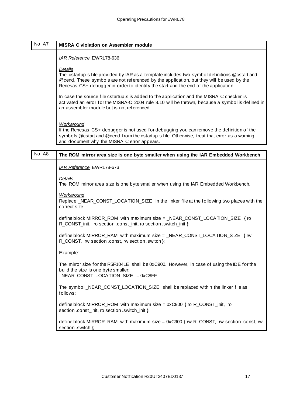<span id="page-16-0"></span>

| No. A7 | <b>MISRA C violation on Assembler module</b>                                                                                                                                                                                                                                                |
|--------|---------------------------------------------------------------------------------------------------------------------------------------------------------------------------------------------------------------------------------------------------------------------------------------------|
|        | <b>IAR Reference EWRL78-636</b>                                                                                                                                                                                                                                                             |
|        | Details<br>The cstartup.s file provided by IAR as a template includes two symbol definitions @cstart and<br>@cend. These symbols are not referenced by the application, but they will be used by the<br>Renesas CS+ debugger in order to identify the start and the end of the application. |
|        | In case the source file cstartup.s is added to the application and the MISRA C checker is<br>activated an error for the MISRA-C 2004 rule 8.10 will be thrown, because a symbol is defined in<br>an assembler module but is not referenced.                                                 |
|        | Workaround<br>If the Renesas CS+ debugger is not used for debugging you can remove the definition of the<br>symbols @cstart and @cend from the cstartup.s file. Otherwise, treat that error as a warning<br>and document why the MISRA C error appears.                                     |
| No. A8 | The ROM mirror area size is one byte smaller when using the IAR Embedded Workbench                                                                                                                                                                                                          |
|        | <b>IAR Reference EWRL78-673</b>                                                                                                                                                                                                                                                             |
|        | Details                                                                                                                                                                                                                                                                                     |
|        | The ROM mirror area size is one byte smaller when using the IAR Embedded Workbench.                                                                                                                                                                                                         |
|        | <b>Workaround</b><br>Replace _NEAR_CONST_LOCATION_SIZE in the linker file at the following two places with the<br>correct size.                                                                                                                                                             |
|        | define block MIRROR_ROM with maximum size = _NEAR_CONST_LOCATION_SIZE { ro<br>R_CONST_init, ro section .const_init, ro section .switch_init };                                                                                                                                              |
|        | define block MIRROR_RAM with maximum size = _NEAR_CONST_LOCATION_SIZE { rw<br>R_CONST, rw section .const, rw section .switch };                                                                                                                                                             |
|        | Example:                                                                                                                                                                                                                                                                                    |
|        | The mirror size for the R5F104LE shall be 0xC900. However, in case of using the IDE for the<br>build the size is one byte smaller:<br>$NEAR$ CONST LOCATION SIZE = 0xC8FF                                                                                                                   |
|        | The symbol_NEAR_CONST_LOCATION_SIZE shall be replaced within the linker file as<br>follows:                                                                                                                                                                                                 |
|        | define block MIRROR_ROM with maximum size = $0xC900$ { ro R_CONST_init, ro<br>section .const_init, ro section .switch_init };                                                                                                                                                               |
|        | define block MIRROR_RAM with maximum size = $0xC900$ { rw R_CONST, rw section .const, rw                                                                                                                                                                                                    |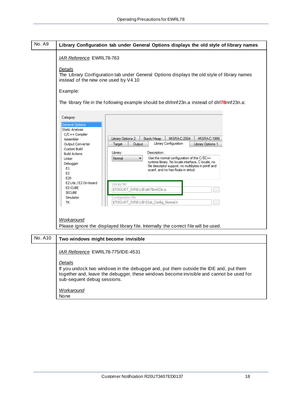<span id="page-17-0"></span>

| <b>No. A9</b> | Library Configuration tab under General Options displays the old style of library names                                                                                                                                                                                                                                                                                                                                                                                                                                                                                                                                                                                                                                                                                                                           |
|---------------|-------------------------------------------------------------------------------------------------------------------------------------------------------------------------------------------------------------------------------------------------------------------------------------------------------------------------------------------------------------------------------------------------------------------------------------------------------------------------------------------------------------------------------------------------------------------------------------------------------------------------------------------------------------------------------------------------------------------------------------------------------------------------------------------------------------------|
|               | <b>IAR Reference EWRL78-763</b>                                                                                                                                                                                                                                                                                                                                                                                                                                                                                                                                                                                                                                                                                                                                                                                   |
|               | Details<br>The Library Configuration tab under General Options displays the old style of library names<br>instead of the new one used by V4.10                                                                                                                                                                                                                                                                                                                                                                                                                                                                                                                                                                                                                                                                    |
|               | Example:                                                                                                                                                                                                                                                                                                                                                                                                                                                                                                                                                                                                                                                                                                                                                                                                          |
|               | The library file in the following example should be dirinnf 23n.a instead of diri78nnf 23n.a:                                                                                                                                                                                                                                                                                                                                                                                                                                                                                                                                                                                                                                                                                                                     |
|               | Category:<br><b>General Options</b><br><b>Static Analysis</b><br>$C/C++$ Compiler<br>Library Options 2<br>MISRA C:2004<br><b>MISRA C:1998</b><br>Stack/Heap<br>Assembler<br>Library Configuration<br>Output Converter<br>Target<br>Library Options 1<br>Output<br><b>Custom Build</b><br>Description:<br>Library:<br><b>Build Actions</b><br>Use the nomal configuration of the C/EC++<br>Normal<br>۰<br>Linker<br>runtime library. No locale interface, C locale, no<br>Debugger<br>file descriptor support, no multibytes in printf and<br>E1<br>scanf, and no hex floats in strtod.<br>E <sub>2</sub><br>E20<br>E2 Lite / E2 On-board<br>Library file:<br>EZ-CUBE<br>\$TOOLKIT_DIR\$\LIB\dlrl78nnf23n.a<br><b>IECUBE</b><br>Simulator<br>Configuration file:<br>\$TOOLKIT DIR\$\LIB\DLib Config Normal.h<br>тк |
|               | Workaround<br>Please ignore the displayed library file. Internally the correct file will be used.                                                                                                                                                                                                                                                                                                                                                                                                                                                                                                                                                                                                                                                                                                                 |
| $No$ $A10$    | Two windows might become invisible                                                                                                                                                                                                                                                                                                                                                                                                                                                                                                                                                                                                                                                                                                                                                                                |

<span id="page-17-1"></span>

| No. A10 | Two windows might become invisible                                                                                                                                                                                         |
|---------|----------------------------------------------------------------------------------------------------------------------------------------------------------------------------------------------------------------------------|
|         | <i>IAR Reference EWRL78-775/IDE-4531</i>                                                                                                                                                                                   |
|         | Details<br>If you undock two windows in the debugger and, put them outside the IDE and, put them<br>together and, leave the debugger, these windows become invisible and cannot be used for<br>sub-sequent debug sessions. |
|         | Workaround<br>None                                                                                                                                                                                                         |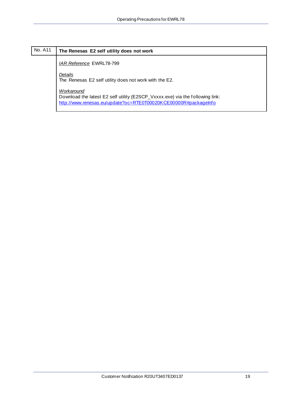| No. A11 | The Renesas E2 self utility does not work                                                                                                                      |
|---------|----------------------------------------------------------------------------------------------------------------------------------------------------------------|
|         | <b>IAR Reference EWRL78-799</b>                                                                                                                                |
|         | Details<br>The Renesas E2 self utility does not work with the E2.                                                                                              |
|         | Workaround<br>Download the latest E2 self utility (E2SCP_Vxxxx.exe) via the following link:<br>http://www.renesas.eu/update?oc=RTE0T00020KCE00000R#packageInfo |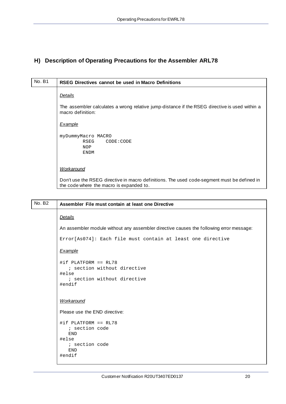## <span id="page-19-1"></span><span id="page-19-0"></span>**H) Description of Operating Precautions for the Assembler ARL78**

| No. B1 | RSEG Directives cannot be used in Macro Definitions                                                                                     |
|--------|-----------------------------------------------------------------------------------------------------------------------------------------|
|        | Details                                                                                                                                 |
|        | The assembler calculates a wrong relative jump-distance if the RSEG directive is used within a<br>macro definition:                     |
|        | <b>Example</b>                                                                                                                          |
|        | myDummyMacro MACRO<br>RSEG<br>CODE:CODE<br><b>NOP</b><br><b>ENDM</b>                                                                    |
|        | <b>Workaround</b>                                                                                                                       |
|        | Don't use the RSEG directive in macro definitions. The used code-segment must be defined in<br>the code where the macro is expanded to. |

| <b>No. B2</b> | Assembler File must contain at least one Directive                                                      |
|---------------|---------------------------------------------------------------------------------------------------------|
|               | <b>Details</b>                                                                                          |
|               | An assembler module without any assembler directive causes the following error message:                 |
|               | Error[As074]: Each file must contain at least one directive                                             |
|               | Example                                                                                                 |
|               | #if PLATFORM == RL78<br>; section without directive<br>#else<br>; section without directive<br>#endif   |
|               | <b>Workaround</b>                                                                                       |
|               | Please use the END directive:                                                                           |
|               | #if PLATFORM == RL78<br>; section code<br><b>END</b><br>#else<br>; section code<br><b>END</b><br>#endif |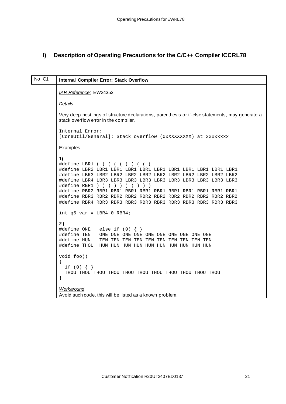## <span id="page-20-1"></span><span id="page-20-0"></span>**I) Description of Operating Precautions for the C/C++ Compiler ICCRL78**

| No. C1 | <b>Internal Compiler Error: Stack Overflow</b>                                                                                                                                      |
|--------|-------------------------------------------------------------------------------------------------------------------------------------------------------------------------------------|
|        | IAR Reference: EW24353                                                                                                                                                              |
|        | <b>Details</b>                                                                                                                                                                      |
|        | Very deep nestlings of structure declarations, parenthesis or if-else statements, may generate a<br>stack overflow error in the compiler.                                           |
|        | Internal Error:<br>[CoreUtil/General]: Stack overflow (0xXXXXXXXX) at xxxxxxxx                                                                                                      |
|        | Examples                                                                                                                                                                            |
|        | 1)<br>#define LBR1 ( ( ( ( ( ( ( ( (<br>#define RBR1 $)$ $)$ $)$ $)$ $)$ $)$ $)$ $)$ $)$<br>int $q5_{var} = LBR4$ 0 RBR4;<br>2)<br>#define ONE else if $(0)$ $\{ \}$<br>#define HUN |
|        | void foo()<br>$\{$<br>if $(0) \{ \}$                                                                                                                                                |
|        | }                                                                                                                                                                                   |
|        | Workaround<br>Avoid such code, this will be listed as a known problem.                                                                                                              |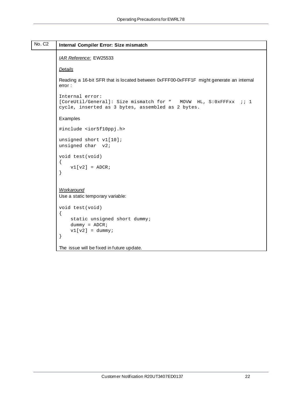<span id="page-21-0"></span>

| No. C <sub>2</sub> | Internal Compiler Error: Size mismatch                                                                                                  |
|--------------------|-----------------------------------------------------------------------------------------------------------------------------------------|
|                    | IAR Reference: EW25533                                                                                                                  |
|                    | <b>Details</b>                                                                                                                          |
|                    | Reading a 16-bit SFR that is located between 0xFFF00-0xFFF1F might generate an internal<br>error:                                       |
|                    | Internal error:<br>[CoreUtil/General]: Size mismatch for " MOVW HL, S:0xFFFxx ;; 1<br>cycle, inserted as 3 bytes, assembled as 2 bytes. |
|                    | Examples                                                                                                                                |
|                    | #include <ior5f10ppj.h></ior5f10ppj.h>                                                                                                  |
|                    | unsigned short v1[10];<br>unsigned char v2;                                                                                             |
|                    | void test(void)<br>$\left\{ \right.$<br>$v1[v2] = ADCR$<br>}                                                                            |
|                    | Workaround<br>Use a static temporary variable:                                                                                          |
|                    | void test(void)<br>$\{$<br>static unsigned short dummy;<br>$dummy = ADCR$ ;<br>$v1[v2] = \text{dummy}$<br>$\}$                          |
|                    | The issue will be fixed in future update.                                                                                               |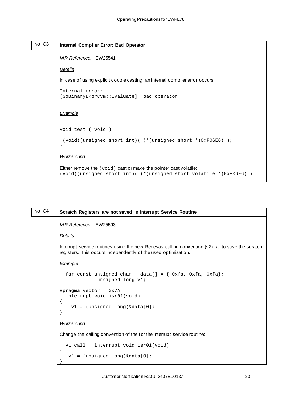#### <span id="page-22-0"></span>No. C3 **Internal Compiler Error: Bad Operator**

#### *IAR Reference:* EW25541

#### *Details*

In case of using explicit double casting, an internal compiler error occurs:

```
Internal error: 
[GoBinaryExprCvm::Evaluate]: bad operator
```
#### *Example*

```
void test ( void )
{
 (void)(unsigned short int)( (*(unsigned short *)0xF06E6) );
}
Workaround
```
Either remove the (void) cast or make the pointer cast volatile: (void)(unsigned short int)( (\*(unsigned short volatile \*)0xF06E6) )

| No. C4 | Scratch Registers are not saved in Interrupt Service Routine                                                                                                        |
|--------|---------------------------------------------------------------------------------------------------------------------------------------------------------------------|
|        | IAR Reference: EW25593                                                                                                                                              |
|        | <b>Details</b>                                                                                                                                                      |
|        | Interrupt service routines using the new Renesas calling convention (v2) fail to save the scratch<br>registers. This occurs independently of the used optimization. |
|        | Example                                                                                                                                                             |
|        | _far const unsigned char data[] = { 0xfa, 0xfa, 0xfa};<br>unsigned long v1;                                                                                         |
|        | #pragma vector = $0x7A$<br>interrupt void isr01(void)<br>$v1 = (unsigned long) \& data[0];$                                                                         |
|        | <b>Workaround</b>                                                                                                                                                   |
|        | Change the calling convention of the for the interrupt service routine:                                                                                             |
|        | _v1_call __interrupt void isr01(void)<br>$v1 = (unsigned long) & data[0];$                                                                                          |
|        |                                                                                                                                                                     |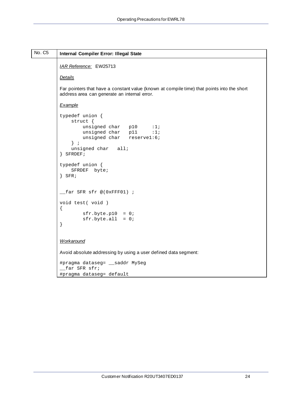```
No. C5 Internal Compiler Error: Illegal State
          IAR Reference: EW25713
          Details
          Far pointers that have a constant value (known at compile time) that points into the short 
          address area can generate an internal error. 
          Example
          typedef union {
                struct {
                   unsigned char p10 :1;<br>unsigned char p11 :1;
                   unsigned char p11
                    unsigned char reserve1:6;
                } ;
                unsigned char all;
          } SFRDEF;
          typedef union {
                SFRDEF byte;
          } SFR;
          _{\text{max}} SFR sfr @(0xFFF01) ;
          void test( void )
          {
                    sfr.byte.p10 = 0;
                    sfr.byte.all = 0;}
          Workaround
          Avoid absolute addressing by using a user defined data segment:
          #pragma dataseg= __saddr MySeg
           __far SFR sfr;
          #pragma dataseg= default
```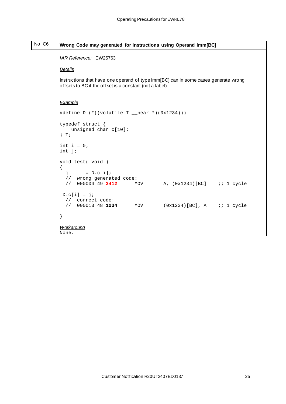<span id="page-24-0"></span>

| No. C6 | Wrong Code may generated for Instructions using Operand imm[BC]                                                                                 |
|--------|-------------------------------------------------------------------------------------------------------------------------------------------------|
|        | IAR Reference: EW25763                                                                                                                          |
|        | <b>Details</b>                                                                                                                                  |
|        | Instructions that have one operand of type imm[BC] can in some cases generate wrong<br>offsets to BC if the offset is a constant (not a label). |
|        | Example                                                                                                                                         |
|        | #define D (*((volatile T __near *)(0x1234)))                                                                                                    |
|        | typedef struct {<br>unsigned char c[10];<br>$\}$ T;                                                                                             |
|        | int $i = 0$ ;<br>$int j$ ;                                                                                                                      |
|        | void test( void )<br>{<br>$j = D.c[i];$<br>// wrong generated code:<br>// 000004 49 3412 MOV A, (0x1234)[BC] ;; 1 cycle                         |
|        | $D.c[i] = ji$<br>// correct code:<br>$(0x1234)[BC]$ , A $i:1$ cycle<br>// 000013 48 1234 MOV                                                    |
|        | $\}$                                                                                                                                            |
|        | Workaround<br>None.                                                                                                                             |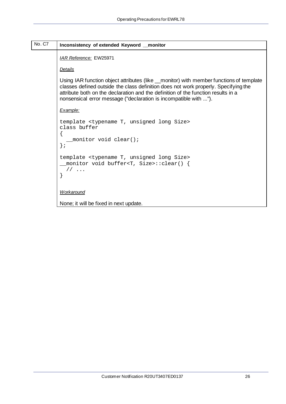<span id="page-25-0"></span>

| No. C7 | Inconsistency of extended Keyword _monitor                                                                                                                                                                                                                                                                                             |
|--------|----------------------------------------------------------------------------------------------------------------------------------------------------------------------------------------------------------------------------------------------------------------------------------------------------------------------------------------|
|        | IAR Reference: EW25971                                                                                                                                                                                                                                                                                                                 |
|        | Details                                                                                                                                                                                                                                                                                                                                |
|        | Using IAR function object attributes (like _monitor) with member functions of template<br>classes defined outside the class definition does not work properly. Specifying the<br>attribute both on the declaration and the definition of the function results in a<br>nonsensical error message ("declaration is incompatible with "). |
|        | Example:                                                                                                                                                                                                                                                                                                                               |
|        | template <typename long="" size="" t,="" unsigned=""><br/>class buffer<br/>monitor void clear();<br/><math>\}</math>;</typename>                                                                                                                                                                                                       |
|        | template <typename long="" size="" t,="" unsigned=""><br/>_monitor void buffer<t, size="">::clear() {<br/><math>1/</math></t,></typename>                                                                                                                                                                                              |
|        | Workaround                                                                                                                                                                                                                                                                                                                             |
|        | None; it will be fixed in next update.                                                                                                                                                                                                                                                                                                 |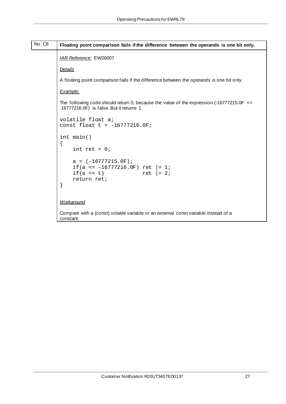<span id="page-26-0"></span>

| No. C8 | Floating point comparison fails if the difference between the operands is one bit only.                                                      |
|--------|----------------------------------------------------------------------------------------------------------------------------------------------|
|        | IAR Reference: EW26007                                                                                                                       |
|        | <b>Details</b>                                                                                                                               |
|        | A floating point comparison fails if the difference between the operands is one bit only.                                                    |
|        | Example:                                                                                                                                     |
|        | The following code should return 0, because the value of the expression $(-16777215.0F \leq$<br>$-16777216.0F$ ) is false. But it returns 1. |
|        | volatile float a;<br>const float $t = -16777216.0F$                                                                                          |
|        | int main()<br>ſ                                                                                                                              |
|        | int ret = $0$ ;<br>$a = (-16777215.0F);$<br>if(a <= $-16777216.0F$ ) ret $= 1i$<br>$if(a \leq t)$<br>ret $ = 2i$<br>return ret;<br>}         |
|        | Workaround<br>Compare with a (const) volatile variable or an external const variable instead of a<br>constant.                               |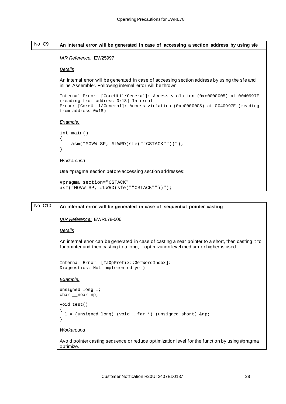```
No. C9 An internal error will be generated in case of accessing a section address by using sfe
          IAR Reference: EW25997
          Details
          An internal error will be generated in case of accessing section address by using the sfe and 
          inline Assembler. Following internal error will be thrown. 
          Internal Error: [CoreUtil/General]: Access violation (0xc0000005) at 0040997E 
          (reading from address 0x18) Internal
          Error: [CoreUtil/General]: Access violation (0xc0000005) at 0040997E (reading 
          from address 0x18)
          Example:
          int main()
          {
                asm("MOVW SP, #LWRD(sfe(""CSTACK""))");
          }
          Workaround
          Use #pragma section before accessing section addresses: 
          #pragma section="CSTACK"
```
asm("MOVW SP, #LWRD(sfe(""CSTACK""))");

```
No. C10 An internal error will be generated in case of sequential pointer casting
           IAR Reference: EWRL78-506
           Details
           An internal error can be generated in case of casting a near pointer to a short, then casting it to 
           far pointer and then casting to a long, if optimization level medium or higher is used.
           Internal Error: [TaOpPrefix::GetWordIndex]: 
           Diagnostics: Not implemented yet)
            Example:
           unsigned long l;
           char __near np;
           void test()
            {
             l = (unsigned long) (void <code>__far *</code>) (unsigned short) <math>@np</math>;}
           Workaround
           Avoid pointer casting sequence or reduce optimization level for the function by using #pragma
```

```
optimize.
```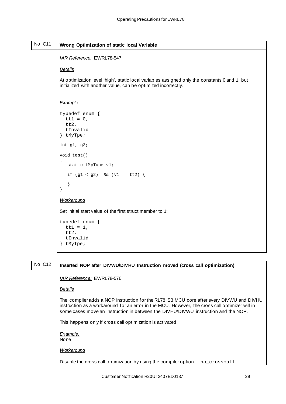<span id="page-28-0"></span>

| No. C11 | Wrong Optimization of static local Variable                                                                                                                    |
|---------|----------------------------------------------------------------------------------------------------------------------------------------------------------------|
|         | IAR Reference: EWRL78-547                                                                                                                                      |
|         | <b>Details</b>                                                                                                                                                 |
|         | At optimization level 'high', static local variables assigned only the constants 0 and 1, but<br>initialized with another value, can be optimized incorrectly. |
|         | Example:                                                                                                                                                       |
|         | typedef enum {<br>$tt1 = 0,$<br>tt2,<br>tInvalid<br>} tMyTpe;                                                                                                  |
|         | int $g1, g2$ ;                                                                                                                                                 |
|         | void test()<br>$\{$<br>static tMyTupe v1;                                                                                                                      |
|         | if $(g1 < g2)$ & (v1 != tt2) {                                                                                                                                 |
|         | }<br>$\}$                                                                                                                                                      |
|         | <b>Workaround</b>                                                                                                                                              |
|         | Set initial start value of the first struct member to 1:                                                                                                       |
|         | typedef enum {<br>$tt1 = 1,$<br>tt2,<br>tInvalid<br>} tMyTpe;                                                                                                  |

# No. C12 **Inserted NOP after DIVWU/DIVHU Instruction moved (cross call optimization)** *IAR Reference:* EWRL78-576 *Details* The compiler adds a NOP instruction for the RL78 S3 MCU core after every DIVWU and DIVHU instruction as a workaround for an error in the MCU. However, the cross call optimizer will in some cases move an instruction in between the DIVHU/DIVWU instruction and the NOP. This happens only if cross call optimization is activated. *Example:* None *Workaround*

Disable the cross call optimization by using the compiler option --no\_crosscall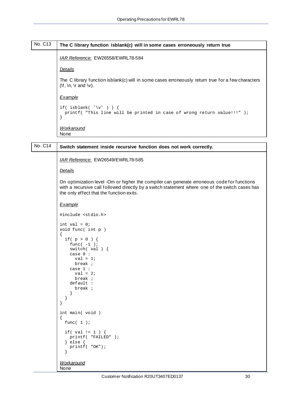#### <span id="page-29-0"></span>No. C13 **The C library function isblank(c) will in some cases erroneously return true**

*IAR Reference:* EW26558/EWRL78-584

#### *Details*

The C library function isblank(c) will in some cases erroneously return true for a few characters  $(\forall f, \ln, \forall r \text{ and } \forall y)$ .

#### *Example*

```
if( isblank( '\v\n\vee' ) ) {
  printf( "This line will be printed in case of wrong return value!!!" );
}
Workaround
```
None

# No. C14 **Switch statement inside recursive function does not work correctly.** *IAR Reference:* EW26549/EWRL78-585 *Details* On optimization level -Om or higher the compiler can generate erroneous code for functions with a recursive call followed directly by a switch statement where one of the switch cases has the only effect that the function exits. *Example*

```
#include <stdio.h>
int val = 0;
void func( int p )
\{ if( p > 0 ) {
   func(-1);
    switch( val ) {
     case 0 :
      val = 1;
       break ;
     case 1 :
      val = 2i break ;
     default :
       break ;
\qquad \qquad }
}
int main( void )
{
   func( 1 );
   if( val != 1 ) {
   printf( "FAILED" );
   } else {
   printf( "OK");
   }
Workaround
None
```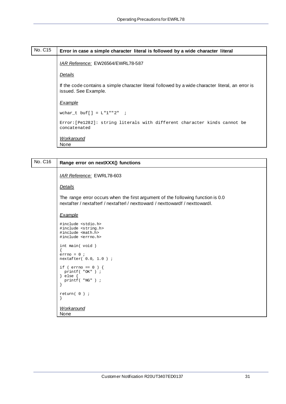# <span id="page-30-0"></span>No. C15 **Error in case a simple character literal is followed by a wide character literal** *IAR Reference:* EW26564/EWRL78-587 *Details* If the code contains a simple character literal followed by a wide character literal, an error is issued. See Example. *Example* wchar\_t buf[] =  $L$ "1""2" ; Error:[Pe1282]: string literals with different character kinds cannot be concatenated

*Workaround* None

| No. C16 | Range error on nextXXX() functions                                                                                                                               |
|---------|------------------------------------------------------------------------------------------------------------------------------------------------------------------|
|         | IAR Reference: EWRL78-603                                                                                                                                        |
|         | <b>Details</b>                                                                                                                                                   |
|         | The range error occurs when the first argument of the following function is 0.0<br>nextatter / nextatterf / nextatterl / nexttoward / nexttowardf / nexttowardl. |
|         | <b>Example</b>                                                                                                                                                   |
|         | #include <stdio.h><br/>#include <string.h><br/>#include <math.h><br/>#include <errno.h></errno.h></math.h></string.h></stdio.h>                                  |
|         | int main (void)<br>1<br>$errno = 0$ ;<br>$nextafter( 0.0, 1.0 )$ ;                                                                                               |
|         | if ( $\text{errno} = 0$ ) {<br>$printf('OK")$ ;<br>$\}$ else $\{$<br>$printf( "NG" )$ ;<br>ł                                                                     |
|         | $return(0)$ ;<br>$\}$                                                                                                                                            |
|         | <b>Workaround</b><br>None                                                                                                                                        |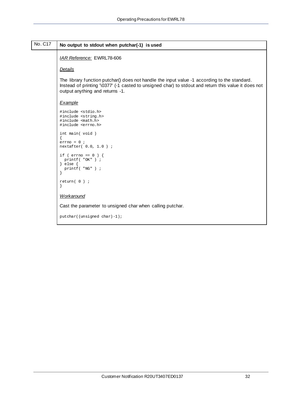<span id="page-31-0"></span>

| No. C17 | No output to stdout when putchar(-1) is used                                                                                                                                                                                            |
|---------|-----------------------------------------------------------------------------------------------------------------------------------------------------------------------------------------------------------------------------------------|
|         | IAR Reference: EWRL78-606                                                                                                                                                                                                               |
|         | Details                                                                                                                                                                                                                                 |
|         | The library function putchar() does not handle the input value -1 according to the standard.<br>Instead of printing '\0377' (-1 casted to unsigned char) to stdout and return this value it does not<br>output anything and returns -1. |
|         | Example                                                                                                                                                                                                                                 |
|         | #include <stdio.h><br/>#include <string.h><br/>#include <math.h><br/>#include <errno.h></errno.h></math.h></string.h></stdio.h>                                                                                                         |
|         | int main (void)<br>$errno = 0$ ;<br>nextafter( 0.0, 1.0 ) ;                                                                                                                                                                             |
|         | if ( $\text{errno} = 0$ ) {<br>printf( "OK") ;<br>$\}$ else $\{$<br>printf ( "NG" ) ;                                                                                                                                                   |
|         | $return(0)$ ;                                                                                                                                                                                                                           |
|         | Workaround                                                                                                                                                                                                                              |
|         | Cast the parameter to unsigned char when calling putchar.                                                                                                                                                                               |
|         | putchar((unsigned char)-1);                                                                                                                                                                                                             |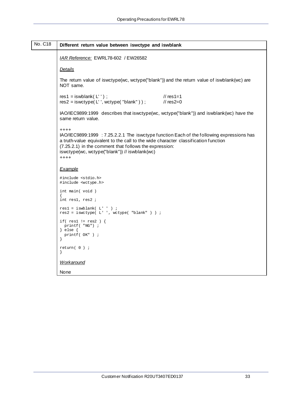<span id="page-32-0"></span>

| No. C18 | Different return value between iswctype and iswblank                                                                                                                                                                                                                                                           |
|---------|----------------------------------------------------------------------------------------------------------------------------------------------------------------------------------------------------------------------------------------------------------------------------------------------------------------|
|         | IAR Reference: EWRL78-602 / EW26582                                                                                                                                                                                                                                                                            |
|         | <b>Details</b>                                                                                                                                                                                                                                                                                                 |
|         | The return value of iswctype(wc, wctype("blank")) and the return value of iswblank(wc) are<br>NOT same.                                                                                                                                                                                                        |
|         | // $res1=1$<br>$res1 = iswblank(L'')$ ;<br>$res2 = iswctype(L'', wctype('blank''))$ ;<br>$\frac{\pi}{2}$ res2=0                                                                                                                                                                                                |
|         | IAO/IEC9899:1999 describes that iswctype(wc, wctype("blank")) and iswblank(wc) have the<br>same return value.                                                                                                                                                                                                  |
|         | $++++$<br>IAO/IEC9899:1999 : 7.25.2.2.1 The iswctype function Each of the following expressions has<br>a truth-value equivalent to the call to the wide character classification function<br>(7.25.2.1) in the comment that follows the expression:<br>iswctype(wc, wctype("blank")) // iswblank(wc)<br>$++++$ |
|         | Example                                                                                                                                                                                                                                                                                                        |
|         | #include <stdio.h><br/>#include <wctype.h></wctype.h></stdio.h>                                                                                                                                                                                                                                                |
|         | int main (void)<br>int resl, res2 ;                                                                                                                                                                                                                                                                            |
|         | $res1 = iswblank( L' ' )$ ;<br>$res2 = iswctype( L' ', wctype( "blank" ) )$ ;                                                                                                                                                                                                                                  |
|         | if( $res1 := res2$ ) {<br>print( "NG") ;<br>$\}$ else $\{$<br>$printf( OK")$ ;                                                                                                                                                                                                                                 |
|         | $return(0)$ ;<br>$\left\{ \right.$                                                                                                                                                                                                                                                                             |
|         | Workaround                                                                                                                                                                                                                                                                                                     |
|         | None                                                                                                                                                                                                                                                                                                           |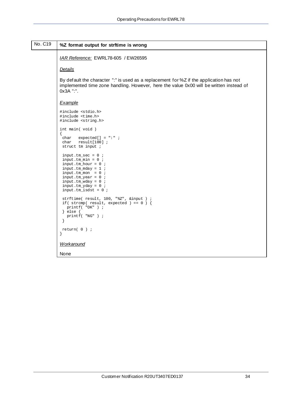<span id="page-33-0"></span>

| No. C19 | %Z format output for strftime is wrong                                                                                                                                                                                      |
|---------|-----------------------------------------------------------------------------------------------------------------------------------------------------------------------------------------------------------------------------|
|         | IAR Reference: EWRL78-605 / EW26595                                                                                                                                                                                         |
|         | <b>Details</b>                                                                                                                                                                                                              |
|         | By default the character ":" is used as a replacement for %Z if the application has not<br>implemented time zone handling. However, here the value 0x00 will be written instead of<br>0x3A ":".                             |
|         | Example                                                                                                                                                                                                                     |
|         | #include <stdio.h><br/>#include <time.h><br/>#include <string.h></string.h></time.h></stdio.h>                                                                                                                              |
|         | int main(void)<br>$expected[] = " : " :"$<br>char<br>char<br>$result[100]$ ;<br>struct tm input ;                                                                                                                           |
|         | input.tm_sec = $0$ ;<br>input.tm_min = $0$ ;<br>input.tm_hour = $0$ ;<br>$input.tm_mday = 1$ ;<br>input.tm_mon = $0$ ;<br>$input.tm\_year = 0$ ;<br>input.tm_wday = $0$ ;<br>input.tm_yday = $0$ ;<br>$input.tm_isdst = 0;$ |
|         | strftime( result, 100, "%Z", &input ) ;<br>if (strcmp(result, expected) == $0$ ) {<br>$printf( "OK" )$ ;<br>} else $\{$<br>$printf( "NG" )$ ;<br>$\left\{ \right.$                                                          |
|         | $return( 0 )$ ;<br>$\left\{ \right\}$                                                                                                                                                                                       |
|         | Workaround                                                                                                                                                                                                                  |
|         | None                                                                                                                                                                                                                        |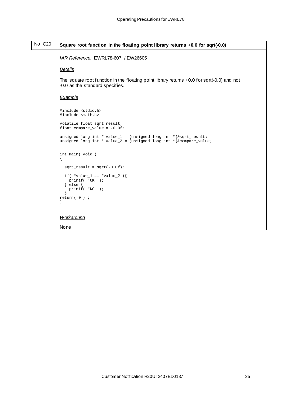<span id="page-34-0"></span>

| No. C <sub>20</sub> | Square root function in the floating point library returns +0.0 for sqrt(-0.0)                                                         |
|---------------------|----------------------------------------------------------------------------------------------------------------------------------------|
|                     | IAR Reference: EWRL78-607 / EW26605                                                                                                    |
|                     | <b>Details</b>                                                                                                                         |
|                     | The square root function in the floating point library returns $+0.0$ for sqrt(-0.0) and not<br>-0.0 as the standard specifies.        |
|                     | Example                                                                                                                                |
|                     | #include <stdio.h><br/>#include <math.h></math.h></stdio.h>                                                                            |
|                     | volatile float sqrt_result;<br>float compare_value = $-0.0f$ ;                                                                         |
|                     | unsigned long int * value_1 = (unsigned long int *)&sqrt_result;<br>unsigned long int * value_2 = (unsigned long int *)&compare_value; |
|                     | int main (void)<br>$\mathcal{L}$                                                                                                       |
|                     | $sqrt(-0.0f)$ ;                                                                                                                        |
|                     | if( $*value_1 == *value_2$ ) {<br>$print( "OK")$ ;<br>$\}$ else $\{$<br>$printf( "NG" )$ ;                                             |
|                     | $return(0)$ ;<br>}                                                                                                                     |
|                     | Workaround                                                                                                                             |
|                     | None                                                                                                                                   |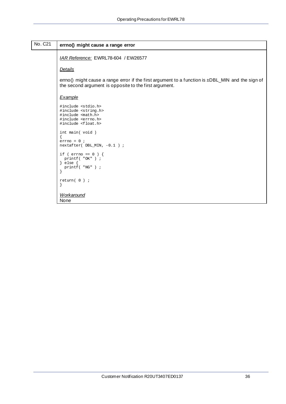<span id="page-35-0"></span>

| No. C <sub>21</sub> | errno() might cause a range error                                                                                                                                |
|---------------------|------------------------------------------------------------------------------------------------------------------------------------------------------------------|
|                     | IAR Reference: EWRL78-604 / EW26577                                                                                                                              |
|                     | <b>Details</b>                                                                                                                                                   |
|                     | errno() might cause a range error if the first argument to a function is $\pm$ DBL_MIN and the sign of<br>the second argument is opposite to the first argument. |
|                     | Example                                                                                                                                                          |
|                     | #include <stdio.h><br/>#include <string.h><br/>#include <math.h><br/>#include <errno.h><br/>#include <float.h></float.h></errno.h></math.h></string.h></stdio.h> |
|                     | int main (void)<br>$errno = 0$ ;<br>nextafter(DBL_MIN, -0.1);                                                                                                    |
|                     | if ( $\text{errno} == 0$ ) {<br>$printf('"OK")$ ;<br>$\}$ else $\{$<br>$printf( "NG" )$ ;                                                                        |
|                     | $return(0)$ ;                                                                                                                                                    |
|                     | <b>Workaround</b>                                                                                                                                                |

None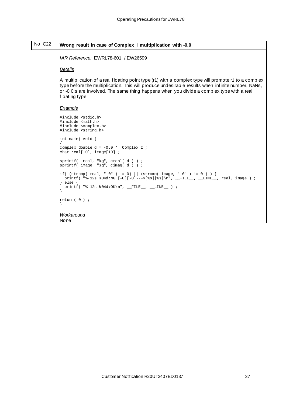<span id="page-36-0"></span>

| No. C <sub>22</sub> | Wrong result in case of Complex_I multiplication with -0.0                                                                                                                                                                                                                                                               |
|---------------------|--------------------------------------------------------------------------------------------------------------------------------------------------------------------------------------------------------------------------------------------------------------------------------------------------------------------------|
|                     | IAR Reference: EWRL78-601 / EW26599                                                                                                                                                                                                                                                                                      |
|                     | <b>Details</b>                                                                                                                                                                                                                                                                                                           |
|                     | A multiplication of a real floating point type (r1) with a complex type will promote r1 to a complex<br>type before the multiplication. This will produce undesirable results when infinite number, NaNs,<br>or -0.0:s are involved. The same thing happens when you divide a complex type with a real<br>floating type. |
|                     | Example                                                                                                                                                                                                                                                                                                                  |
|                     | #include <stdio.h><br/>#include <math.h><br/>#include <complex.h><br/>#include <string.h></string.h></complex.h></math.h></stdio.h>                                                                                                                                                                                      |
|                     | int main (void)<br>complex double $d = -0.0 *$ _Complex_I ;<br>char real[10], $image[10]$ ;                                                                                                                                                                                                                              |
|                     | sprintf( real, " $sq$ ", creal(d) ) ;<br>sprintf( image, "%g", $cimaq(d)$ ) ;                                                                                                                                                                                                                                            |
|                     | if( $(strcmp( real, "-0") != 0)    (strcmp( image, "-0") != 0 ) )$<br>printf( "%-12s %04d:NG $[-0]$ [-0]--->[%s][%s]\n", _FILE_, _LINE_, real, image ) ;<br>$\}$ else $\{$<br>printf ( $"\text{-}12s \text{ }04d:OK\n", \_\text{FILE}, \_\text{LINE}$ ) ;                                                                |
|                     | $return(0)$ ;                                                                                                                                                                                                                                                                                                            |
|                     | Workaround<br>None                                                                                                                                                                                                                                                                                                       |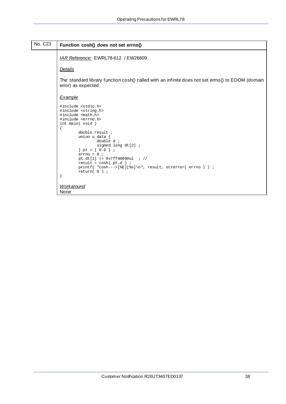<span id="page-37-0"></span>

| No. C <sub>23</sub> | Function cosh() does not set errno()                                                                                                                                                                                                                                |
|---------------------|---------------------------------------------------------------------------------------------------------------------------------------------------------------------------------------------------------------------------------------------------------------------|
|                     | IAR Reference: EWRL78-612 / EW26609                                                                                                                                                                                                                                 |
|                     | Details                                                                                                                                                                                                                                                             |
|                     | The standard library function cosh() called with an infinite does not set errno() to EDOM (domain<br>error) as expected.                                                                                                                                            |
|                     | <b>Example</b>                                                                                                                                                                                                                                                      |
|                     | #include <stdio.h><br/>#include <string.h><br/>#include <math.h><br/>#include <errno.h><br/>int main(void)</errno.h></math.h></string.h></stdio.h>                                                                                                                  |
|                     | double result ;<br>union u_data {<br>double $d$ ;<br>signed long $dt[2]$ ;<br>$\}$ pt = {0.0 };<br>$errno = 0$ ;<br>pt.dt[1] $= 0x7ff00000u1$ ; //<br>result = $cosh(pt.d)$ ;<br>printf( "cosh--->[ $E$ ][ $\$ s]\n", result, strerror( errno) ) ;<br>$return(0)$ ; |
|                     |                                                                                                                                                                                                                                                                     |

```
Workaround
None
```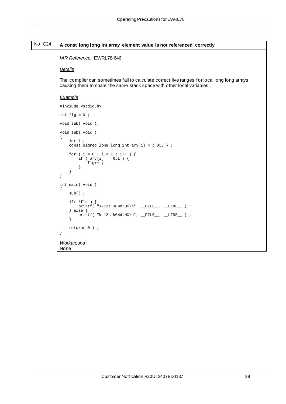<span id="page-38-0"></span>

| No. C <sub>24</sub> | A const long long int array element value is not referenced correctly                                                                                                 |
|---------------------|-----------------------------------------------------------------------------------------------------------------------------------------------------------------------|
|                     | IAR Reference: EWRL78-646                                                                                                                                             |
|                     | <b>Details</b>                                                                                                                                                        |
|                     | The compiler can sometimes fail to calculate correct live ranges for local long long arrays<br>causing them to share the same stack space with other local variables. |
|                     | Example                                                                                                                                                               |
|                     | #include <stdio.h></stdio.h>                                                                                                                                          |
|                     | int $f1q = 0$ ;                                                                                                                                                       |
|                     | void sub(void);                                                                                                                                                       |
|                     | void sub(void)<br>$\left\{ \right.$<br>int i<br>const signed long long int $\text{ary}[1] = \{ 0 \text{LL } \}$ ;                                                     |
|                     | for ( $i = 0$ ; $i < 1$ ; $i++)$ {<br>if ( $ary[i] := 0LL$ ) {<br>flg++ $\cdot$<br>$\overline{ }$<br>}<br>$\}$                                                        |
|                     | int main (void)<br>$sub()$ ;                                                                                                                                          |
|                     | if $($ !flg $)$ {<br>printf( "%-12s %04d: OK\n", __FILE__, __LINE__ ) ;<br>$\}$ else $\{$<br>printf( $"\text{-}12s %04d:NG\n'$ , _FILE_, _LINE_ ) ;<br>$\mathcal{F}$  |
|                     | $return( 0 )$ ;<br>$\left\{ \right\}$                                                                                                                                 |
|                     | <b>Workaround</b><br>None                                                                                                                                             |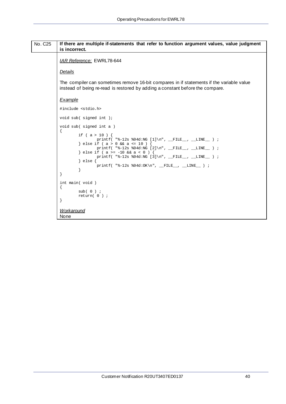#### <span id="page-39-0"></span>No. C25 **If there are multiple if-statements that refer to function argument values, value judgment is incorrect.** *IAR Reference:* EWRL78-644 *Details* The compiler can sometimes remove 16-bit compares in if statements if the variable value instead of being re-read is restored by adding a constant before the compare. *Example* #include <stdio.h> void sub( signed int ); void sub( signed int a ) { if ( a > 10 ) { printf( "%-12s %04d:NG [1]\n", \_\_FILE\_\_, \_\_LINE\_\_ ) ; } else if (  $a > 0$  &&  $a \le 10$  )  $printf($  "%-12s %04d:NG  $[2]\n$ ", \_\_FILE\_\_, \_\_LINE\_\_ ) ; } else if ( a >= -10 && a < 0 ) { printf( "%-12s %04d:NG [3]\n", \_\_FILE\_\_, \_\_LINE\_\_ ) ; } else { printf( "%-12s %04d:OK\n", \_\_FILE\_\_, \_\_LINE\_\_ ) ;<br>}  $\qquad \qquad \}$ } int main( void ) { sub( 0 ) ; return( 0 ) ; } *Workaround*

None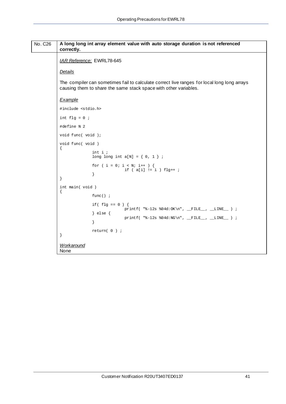<span id="page-40-0"></span>

| No. C <sub>26</sub> | correctly.                             | A long long int array element value with auto storage duration is not referenced                                                                                |
|---------------------|----------------------------------------|-----------------------------------------------------------------------------------------------------------------------------------------------------------------|
|                     |                                        | IAR Reference: EWRL78-645                                                                                                                                       |
|                     | <b>Details</b>                         |                                                                                                                                                                 |
|                     |                                        | The compiler can sometimes fail to calculate correct live ranges for local long long arrays<br>causing them to share the same stack space with other variables. |
|                     | Example                                |                                                                                                                                                                 |
|                     | #include <stdio.h></stdio.h>           |                                                                                                                                                                 |
|                     | int $flg = 0$ ;                        |                                                                                                                                                                 |
|                     | #define N 2                            |                                                                                                                                                                 |
|                     | void func( void );                     |                                                                                                                                                                 |
|                     | void func( void )<br>$\left\{ \right.$ |                                                                                                                                                                 |
|                     |                                        | int i<br>long long int $a[N] = \{ 0, 1 \}$ ;                                                                                                                    |
|                     | $\}$                                   | for ( i = 0; i < N; i++ ) {<br>if $(a[i] != i) fly++ ;$<br><sup>}</sup>                                                                                         |
|                     | int main (void)                        |                                                                                                                                                                 |
|                     |                                        | $func()$ ;                                                                                                                                                      |
|                     |                                        | if $(f \leq f \leq g)$ = $(0)$ {<br>printf( "%-12s %04d: OK\n", __FILE__, __LINE__ ) ;                                                                          |
|                     |                                        | } else $\{$<br>$printf($ "%-12s %04d:NG\n", __FILE__, __LINE__ ) ;                                                                                              |
|                     |                                        |                                                                                                                                                                 |
|                     |                                        | $return(0)$ ;                                                                                                                                                   |
|                     | Workaround<br>None                     |                                                                                                                                                                 |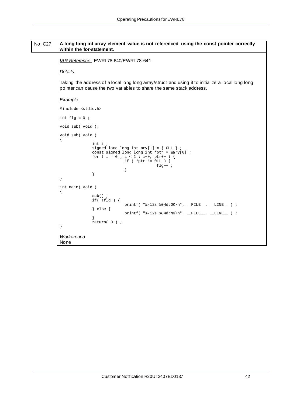```
No. C27 A long long int array element value is not referenced using the const pointer correctly
           within the for-statement.
           IAR Reference: EWRL78-640/EWRL78-641
           Details
           Taking the address of a local long long array/struct and using it to initialize a local long long
           pointer can cause the two variables to share the same stack address.
           Example
           #include <stdio.h>
           int flg = 0 ;
           void sub( void );
           void sub( void )
           {
                           int i ;
                          signed long long int ary[1] = \{ 0LL \};
            const signed long long int *ptr = &ary[0] ;
           for ( i = 0 ; i < 1 ; i++, ptr++ ) {
            if ( *ptr != 0LL ) {
                                         \begin{aligned} \texttt{fly++} \end{aligned} \hspace{0.2cm} ;\{x_i\}_{i=1}^n and \{x_i\}_{i=1}^n\begin{array}{ccc} \cdot & \cdot & \cdot & \cdot \end{array}}
           int main( void )
           {
                           sub() ;
                           if( !flg ) {
                                        printf( "8-12s 804d:OK\n", _FILE_, , _LINE_, ) ; } else {
                          printf( "\-12s 04d:NG\n,  FILE_,  LINE_ ) ;<br>}
            }
                           return( 0 ) ;
           }
           Workaround
           None
```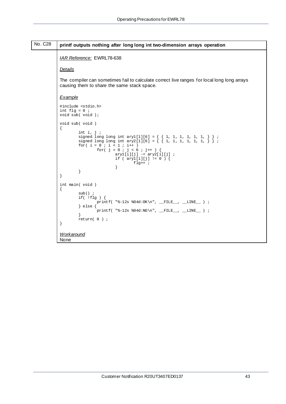<span id="page-42-0"></span>

| No. C <sub>28</sub> | printf outputs nothing after long long int two-dimension arrays operation                                                                                                                                                                                                                                                                 |
|---------------------|-------------------------------------------------------------------------------------------------------------------------------------------------------------------------------------------------------------------------------------------------------------------------------------------------------------------------------------------|
|                     | IAR Reference: EWRL78-638                                                                                                                                                                                                                                                                                                                 |
|                     | <b>Details</b>                                                                                                                                                                                                                                                                                                                            |
|                     | The compiler can sometimes fail to calculate correct live ranges for local long long arrays<br>causing them to share the same stack space.                                                                                                                                                                                                |
|                     | <b>Example</b>                                                                                                                                                                                                                                                                                                                            |
|                     | #include <stdio.h><br/>int flg = <math>0</math> ;<br/>void sub(void);</stdio.h>                                                                                                                                                                                                                                                           |
|                     | void sub(void)<br>int $i, j$ ;<br>signed long long int ary 1[1][6] = { { 1, 1, 1, 1, 1, 1, } } ;<br>signed long long int ary 2[1][6] = { { 1, 1, 1, 1, 1, 1, } } ;<br>for( $i = 0$ ; $i < 1$ ; $i++)$<br>for( $j = 0$ ; $j < 6$ ; $j++)$ {<br>$ary1[i][j]$ -= $ary2[i][j]$ ;<br>if ( $ary1[i][j]$ != 0 ) {<br>$flg++$ ;<br>ł<br>ł<br>$\}$ |
|                     | int main (void)<br>$sub()$ ;<br>if( $!$ flg $)$ {<br>printf( "%-12s %04d:OK\n", __FILE__, __LINE__ ) ;<br>$\}$ else $\{$<br>$printf($ "%-12s %04d:NG\n", __FILE__, __LINE__ ) ;<br>$return( 0 )$ ;<br>$\left\{ \right\}$                                                                                                                  |
|                     | Workaround<br>None                                                                                                                                                                                                                                                                                                                        |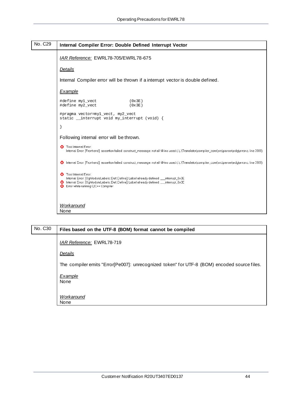<span id="page-43-0"></span>

No. C30 **Files based on the UTF-8 (BOM) format cannot be compiled** *IAR Reference:* EWRL78-719 *Details* The compiler emits "Error[Pe007]: unrecognized token" for UTF-8 (BOM) encoded source files. *Example* None *Workaround* None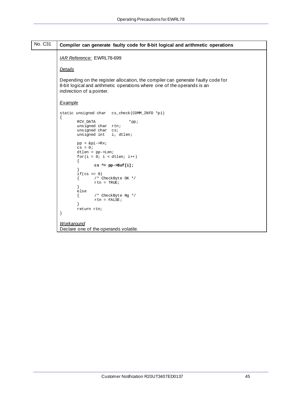<span id="page-44-0"></span>

| No. C31 | Compiler can generate faulty code for 8-bit logical and arithmetic operations                                                                                                           |
|---------|-----------------------------------------------------------------------------------------------------------------------------------------------------------------------------------------|
|         | IAR Reference: EWRL78-699                                                                                                                                                               |
|         |                                                                                                                                                                                         |
|         | <b>Details</b>                                                                                                                                                                          |
|         | Depending on the register allocation, the compiler can generate faulty code for<br>8-bit logical and arithmetic operations where one of the operands is an<br>indirection of a pointer. |
|         | Example                                                                                                                                                                                 |
|         | static unsigned char cs_check(COMM_INFO *pi)<br>$\{$                                                                                                                                    |
|         | RCV_DATA<br>$*$ pp;<br>unsigned char rtn;<br>unsigned char cs;<br>unsigned int<br>i, dtlen;                                                                                             |
|         | $pp =$ $\π$ ->Rx;<br>$cs = 0;$<br>$dtlen = pp->Len;$                                                                                                                                    |
|         | for $(i = 0; i < dtlen; i++)$                                                                                                                                                           |
|         | $cs$ ^= pp->Buf[i];<br>$if(cs == 0)$                                                                                                                                                    |
|         | /* CheckByte OK */<br>$rtn = TRUE;$                                                                                                                                                     |
|         | else<br>/* CheckByte Ng */<br>$rtn = FALSE;$                                                                                                                                            |
|         | return rtn;<br>}                                                                                                                                                                        |
|         |                                                                                                                                                                                         |
|         | <b>Workaround</b><br>Declare one of the operands volatile.                                                                                                                              |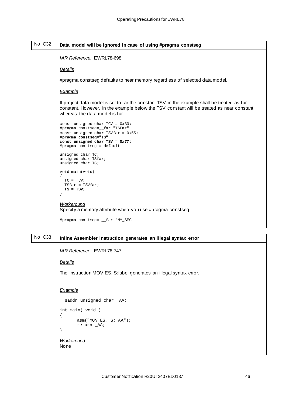<span id="page-45-0"></span>

| No. C32 | Data model will be ignored in case of using #pragma constseg                                                                                                                                                               |
|---------|----------------------------------------------------------------------------------------------------------------------------------------------------------------------------------------------------------------------------|
|         | IAR Reference: EWRL78-698                                                                                                                                                                                                  |
|         | <b>Details</b>                                                                                                                                                                                                             |
|         | #pragma constseg defaults to near memory regardless of selected data model.                                                                                                                                                |
|         | Example                                                                                                                                                                                                                    |
|         | If project data model is set to far the constant TSV in the example shall be treated as far<br>constant. However, in the example below the TSV constant will be treated as near constant<br>whereas the data model is far. |
|         | const unsigned char $TCV = 0x33$<br>#pragma constseg=__far "TSFar"<br>const unsigned char TSV far = $0x55$ ;<br>#pragma constseg="TS"<br>const unsigned char $TSV = 0x77$ ;<br>#pragma constseg = default                  |
|         | unsigned char TC;<br>unsigned char TSfar;<br>unsigned char TS;                                                                                                                                                             |
|         | void main(void)<br>$TC = TCV$<br>$TSfar = TSVfar;$<br>$TS = TSV;$                                                                                                                                                          |
|         | Workaround<br>Specify a memory attribute when you use #pragma constseg:                                                                                                                                                    |
|         | #pragma constseg= _far "MY_SEG"                                                                                                                                                                                            |

### No. C33 **Inline Assembler instruction generates an illegal syntax error**

*IAR Reference:* EWRL78-747

*Details*

The instruction MOV ES, S:label generates an illegal syntax error.

#### *Example*

```
__saddr unsigned char _AA;
int main( void )
{
      asm("MOV ES, S:_AA");
      return _AA;
} 
Workaround
None
```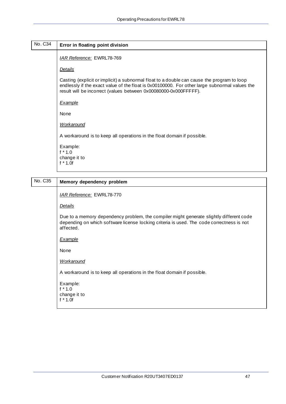<span id="page-46-0"></span>

| No. C34 | Error in floating point division                                                                                                                                                                                                                                |
|---------|-----------------------------------------------------------------------------------------------------------------------------------------------------------------------------------------------------------------------------------------------------------------|
|         | <b>IAR Reference: EWRL78-769</b>                                                                                                                                                                                                                                |
|         | <b>Details</b>                                                                                                                                                                                                                                                  |
|         | Casting (explicit or implicit) a subnormal float to a double can cause the program to loop<br>endlessly if the exact value of the float is 0x00100000. For other large subnormal values the<br>result will be incorrect (values between 0x00080000-0x000FFFFF). |
|         | Example                                                                                                                                                                                                                                                         |
|         | None                                                                                                                                                                                                                                                            |
|         | <b>Workaround</b>                                                                                                                                                                                                                                               |
|         | A workaround is to keep all operations in the float domain if possible.                                                                                                                                                                                         |
|         | Example:<br>$f * 1.0$<br>change it to<br>$f * 1.0f$                                                                                                                                                                                                             |

| No. C35 | Memory dependency problem                                                                                                                                                                         |
|---------|---------------------------------------------------------------------------------------------------------------------------------------------------------------------------------------------------|
|         | <b>IAR Reference: EWRL78-770</b>                                                                                                                                                                  |
|         | <b>Details</b>                                                                                                                                                                                    |
|         | Due to a memory dependency problem, the compiler might generate slightly different code<br>depending on which software license locking criteria is used. The code correctness is not<br>affected. |
|         | Example                                                                                                                                                                                           |
|         | None                                                                                                                                                                                              |
|         | <b>Workaround</b>                                                                                                                                                                                 |
|         | A workaround is to keep all operations in the float domain if possible.                                                                                                                           |
|         | Example:<br>$f * 1.0$<br>change it to<br>$f * 1.0f$                                                                                                                                               |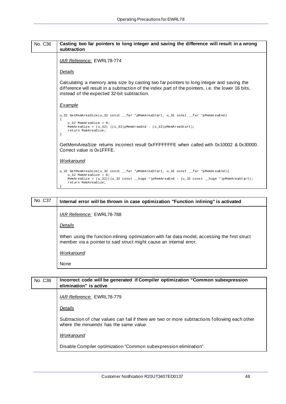### No. C36 **Casting two far pointers to long integer and saving the difference will result in a wrong subtraction** *IAR Reference:* EWRL78-774 *Details* Calculating a memory area size by casting two far pointers to long integer and saving the difference will result in a subtraction of the index part of the pointers, i.e. the lower 16 bits, instead of the expected 32-bit subtraction. *Example* u\_32 GetMemAreaSize(u\_32 const \_\_far \*pMemAreaStart, u\_32 const \_\_far \*pMemAreaEnd) { u 32 MemAreaSize =  $0;$  $MemAreaSize = (u_32)$   $((u_32)$ pMemAreaEnd -  $(u_32)$ pMemAreaStart); return MemAreaSize; } GetMemAreaSize returns incorrect result 0xFFFFFFFE when called with 0x10002 & 0x30000. Correct value is 0x1FFFE.

#### *Workaround*

```
u_32 GetMemAreaSize(u_32 const __far *pMemAreaStart, u_32 const __far *pMemAreaEnd){ 
   u_32 MemAreaSize = 0;
    MemAreaSize = (u_32)((u_32 const __huge *)pMemAreaEnd - (u_32 const __huge *)pMemAreaStart); 
    return MemAreaSize; 
}
```
## No. C37 **Internal error will be thrown in case optimization "Function inlining" is activated** *IAR Reference:* EWRL78-788 *Details* When using the function inlining optimization with far data model, accessing the first struct member via a pointer to said struct might cause an internal error. *Workaround* None

## No. C38 **Incorrect code will be generated if Compiler optimization "Common subexpression elimination" is active** *IAR Reference:* EWRL78-779 *Details* Subtraction of char values can fail if there are two or more subtractions following each other where the minuends has the same value. *Workaround* Disable Compiler optimization "Common subexpression elimination".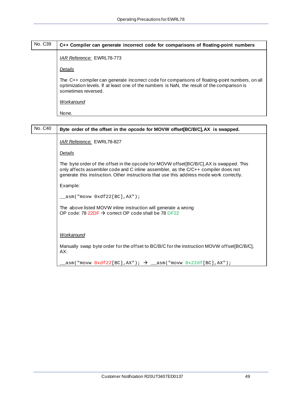| No. C39 | C++ Compiler can generate incorrect code for comparisons of floating-point numbers                                                                                                                                   |
|---------|----------------------------------------------------------------------------------------------------------------------------------------------------------------------------------------------------------------------|
|         | IAR Reference: EWRL78-773                                                                                                                                                                                            |
|         | Details                                                                                                                                                                                                              |
|         | The C++ compiler can generate incorrect code for comparisons of floating-point numbers, on all<br>optimization levels. If at least one of the numbers is NaN, the result of the comparison is<br>sometimes reversed. |
|         | Workaround                                                                                                                                                                                                           |
|         | None.                                                                                                                                                                                                                |

| No. C40 | Byte order of the offset in the opcode for MOVW offset[BC/B/C], AX is swapped.                                                                                                                                                                                            |
|---------|---------------------------------------------------------------------------------------------------------------------------------------------------------------------------------------------------------------------------------------------------------------------------|
|         | IAR Reference: EWRL78-827                                                                                                                                                                                                                                                 |
|         | <u>Details</u>                                                                                                                                                                                                                                                            |
|         | The byte order of the offset in the opcode for MOVW offset[BC/B/C], AX is swapped. This<br>only affects assembler code and C inline assembler, as the C/C++ compiler does not<br>generate this instruction. Other instructions that use this address mode work correctly. |
|         | Example:                                                                                                                                                                                                                                                                  |
|         | $\text{L}$ asm("movw $0 \text{xdf22}[BC]$ , AX");                                                                                                                                                                                                                         |
|         | The above listed MOVW inline instruction will generate a wrong<br>OP code: 78 22DF $\rightarrow$ correct OP code shall be 78 DF22                                                                                                                                         |
|         |                                                                                                                                                                                                                                                                           |
|         | <b>Workaround</b>                                                                                                                                                                                                                                                         |
|         | Manually swap byte order for the offset to BC/B/C for the instruction MOVW offset[BC/B/C],<br>AX:                                                                                                                                                                         |
|         | $\texttt{asm}("movw \space 0 \texttt{xdf22} [BC], AX"); \rightarrow \texttt{asm}("movw \space 0 \texttt{x22df} [BC], AX");$                                                                                                                                               |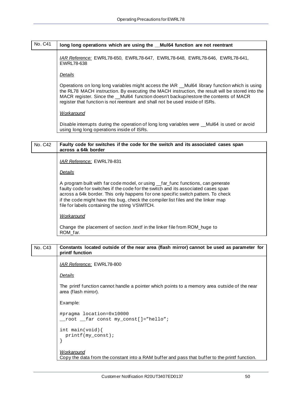## No. C41 **long long operations which are using the \_\_Mul64 function are not reentrant**

*IAR Reference:* EWRL78-650, EWRL78-647, EWRL78-648, EWRL78-646, EWRL78-641, EWRL78-638

*Details*

Operations on long long variables might access the IAR \_\_Mul64 library function which is using the RL78 MACH instruction. By executing the MACH instruction, the result will be stored into the MACR register. Since the \_\_Mul64 function doesn't backup/restore the contents of MACR register that function is not reentrant and shall not be used inside of ISRs.

*Workaround*

Disable interrupts during the operation of long long variables were Mul64 is used or avoid using long long operations inside of ISRs.

#### No. C42 **Faulty code for switches if the code for the switch and its associated cases span across a 64k border**

*IAR Reference:* EWRL78-831

*Details*

A program built with far code model, or using \_far\_func functions, can generate faulty code for switches if the code for the switch and its associated cases span across a 64k border. This only happens for one specific switch pattern. To check if the code might have this bug, check the compiler list files and the linker map file for labels containing the string VSWITCH.

*Workaround*

Change the placement of section .textf in the linker file from ROM\_huge to ROM\_far.

### No. C43 **Constants located outside of the near area (flash mirror) cannot be used as parameter for printf function** *IAR Reference:* EWRL78-800

*Details*

The printf function cannot handle a pointer which points to a memory area outside of the near area (flash mirror).

Example:

```
#pragma location=0x10000
root far const my const[]="hello";
```

```
int main(void){
  printf(my_const);
}
```

```
Workaround
```
Copy the data from the constant into a RAM buffer and pass that buffer to the printf function.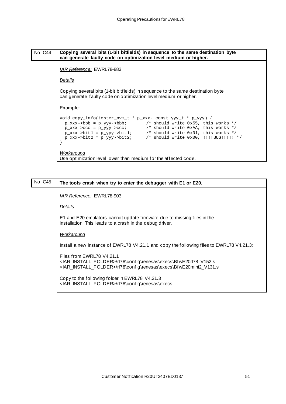### No. C44 **Copying several bits (1-bit bitfields) in sequence to the same destination byte can generate faulty code on optimization level medium or higher.** *IAR Reference:* EWRL78-883 *Details* Copying several bits (1-bit bitfields) in sequence to the same destination byte can generate faulty code on optimization level medium or higher. Example: void copy\_info(tester\_nvm\_t \* p\_xxx, const yyy\_t \* p\_yyy) {  $p\_xxx$ ->bbb =  $p\_yyy$ ->bbb;  $\qquad$  /\* should write 0x55, this works \*/ p\_xxx->ccc = p\_yyy->ccc; /\* should write 0xAA, this works \*/  $p\_xxx$ ->bitl =  $p\_yyy$ ->bitl;  $\qquad$  /\* should write 0x01, this works \*/ p\_xxx->bit2 = p\_yyy->bit2; /\* should write 0x00, !!!!BUG!!!!! \*/ } *Workaround* Use optimization level lower than medium for the affected code.

No. C45 **The tools crash when try to enter the debugger with E1 or E20.** *IAR Reference:* EWRL78-903 *Details* E1 and E20 emulators cannot update firmware due to missing files in the installation. This leads to a crash in the debug driver. *Workaround* Install a new instance of EWRL78 V4.21.1 and copy the following files to EWRL78 V4.21.3: Files from EWRL78 V4.21.1 <IAR\_INSTALL\_FOLDER>\rl78\config\renesas\execs\BfwE20rl78\_V152.s <IAR\_INSTALL\_FOLDER>\rl78\config\renesas\execs\BfwE20mini2\_V131.s Copy to the following folder in EWRL78 V4.21.3 <IAR\_INSTALL\_FOLDER>\rl78\config\renesas\execs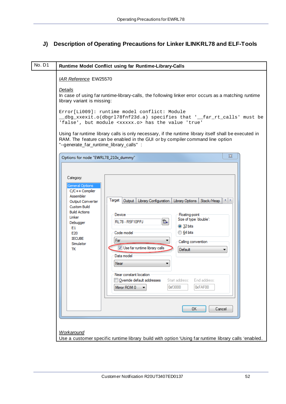## <span id="page-51-0"></span>**J) Description of Operating Precautions for Linker ILINKRL78 and ELF-Tools**

| No. D1 | Runtime Model Conflict using far Runtime-Library-Calls                                                                                                                                                                                                                                                                                                                                                                                                                                                                                                                                                                                                                   |
|--------|--------------------------------------------------------------------------------------------------------------------------------------------------------------------------------------------------------------------------------------------------------------------------------------------------------------------------------------------------------------------------------------------------------------------------------------------------------------------------------------------------------------------------------------------------------------------------------------------------------------------------------------------------------------------------|
|        | <b>IAR Reference EW25570</b><br>Details<br>In case of using far runtime-library-calls, the following linker error occurs as a matching runtime<br>library variant is missing:<br>Error[Li009]: runtime model conflict: Module<br>dbg_xxexit.o(dbgrl78fnf23d.a) specifies that '__far_rt_calls' must be<br>'false', but module <xxxxx.o> has the value 'true'</xxxxx.o>                                                                                                                                                                                                                                                                                                   |
|        | Using far runtime library calls is only necessary, if the runtime library itself shall be executed in<br>RAM. The feature can be enabled in the GUI or by compiler command line option<br>"--generate_far_runtime_library_calls":<br>$\Sigma$<br>Options for node "EWRL78_210x_dummy"                                                                                                                                                                                                                                                                                                                                                                                    |
|        | Category:<br>General Options<br>$C/C++$ Compiler<br>Assembler<br>Target  <br>Output<br>Library Configuration   Library Options<br>Stack/Heap<br>Output Converter<br>Custom Build<br><b>Build Actions</b><br>Device<br>Floating-point<br>Linker<br>Size of type 'double':<br>ß⊦<br>RL78 - R5F10PPJ<br>Debugger<br><b>32 bits</b><br>E1<br><b>64 bits</b><br>Code model<br>E20<br><b>IECUBE</b><br>Far<br>Calling convention<br>Simulator<br>V Use far runtime library calls<br>ТK<br><b>Default</b><br>Data model<br>Near<br>Near constant location<br>Override default addresses<br>Start address:<br>End address:<br>0xf3000<br>0xFAF00<br>Mirror ROM 0<br>0K<br>Cancel |
|        | Workaround<br>Use a customer specific runtime library build with option 'Using far runtime library calls 'enabled.                                                                                                                                                                                                                                                                                                                                                                                                                                                                                                                                                       |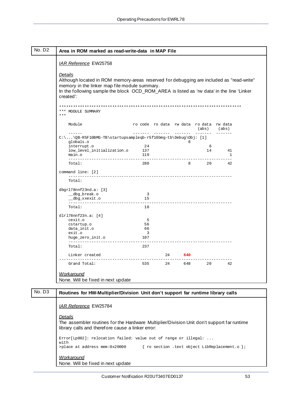<span id="page-52-0"></span>

| Area in ROM marked as read-write-data in MAP File                                                                                                                                                                                                              |                                                 |                                         |                  |                      |
|----------------------------------------------------------------------------------------------------------------------------------------------------------------------------------------------------------------------------------------------------------------|-------------------------------------------------|-----------------------------------------|------------------|----------------------|
| <b>IAR Reference EW25758</b>                                                                                                                                                                                                                                   |                                                 |                                         |                  |                      |
| Details<br>Although located in ROM memory-areas reserved for debugging are included as "read-write"<br>memory in the linker map file module summary.<br>In the following sample the block OCD_ROM_AREA is listed as 'rw data' in the line 'Linker<br>created': |                                                 |                                         |                  |                      |
| * *** *** ** *** ** *** ** ** ** *** *** *** *** *** *** *** *** *** *** *** *** ** ** ** ** ** ** **<br>*** MODULE SUMMARY<br>$***$                                                                                                                           |                                                 |                                         |                  |                      |
| Module                                                                                                                                                                                                                                                         |                                                 | ro code ro data rw data ro data rw data | (abs) (abs)      |                      |
| $C:\ldots\QB-R5F10BMG-TB\star tarysamp1eqb-r5f10bmg-tb\Debug\Obj: [1]$<br>globals.o                                                                                                                                                                            |                                                 | 8                                       |                  |                      |
| interrupt.o<br>low_level_initialization.o 137<br>main.o                                                                                                                                                                                                        | 24<br>119                                       |                                         | - 6<br>14        | 41<br>$\overline{1}$ |
| Total:                                                                                                                                                                                                                                                         | 280                                             | 8 20 42                                 |                  |                      |
| command line: [2]                                                                                                                                                                                                                                              |                                                 |                                         |                  |                      |
| Total:                                                                                                                                                                                                                                                         |                                                 |                                         |                  |                      |
| dbgr178nnf23nd.a: [3]<br>__dbg_break.o<br>dbg_xxexit.o_                                                                                                                                                                                                        | $\overline{\mathbf{3}}$<br>15                   |                                         |                  |                      |
| Total:                                                                                                                                                                                                                                                         | 18                                              |                                         |                  |                      |
| dlr $178$ nnf $23n.a: [4]$<br>cexit.o<br>cstartup.o<br>data_init.o<br>exit.o<br>huge_zero_init.o                                                                                                                                                               | 5<br>56<br>66<br>$\overline{\mathbf{3}}$<br>107 |                                         |                  |                      |
| Total:                                                                                                                                                                                                                                                         | 237                                             |                                         |                  |                      |
| Linker created                                                                                                                                                                                                                                                 |                                                 | 24 640                                  |                  |                      |
| Grand Total:                                                                                                                                                                                                                                                   |                                                 |                                         | 535 24 648 20 42 |                      |

| No. D3 | Routines for HW-Multiplier/Division Unit don't support far runtime library calls                                                                            |
|--------|-------------------------------------------------------------------------------------------------------------------------------------------------------------|
|        | <b>IAR Reference EW25784</b>                                                                                                                                |
|        | Details<br>The assembler routines for the Hardware Multiplier/Division Unit don't support far runtime<br>library calls and therefore cause a linker error:  |
|        | $Error[Lp002]:$ relocation failed: value out of range or illegal:<br>with<br>{ ro section .text object LibReplacement.o };<br>>place at address mem:0x20000 |
|        | Workaround<br>None. Will be fixed in next update                                                                                                            |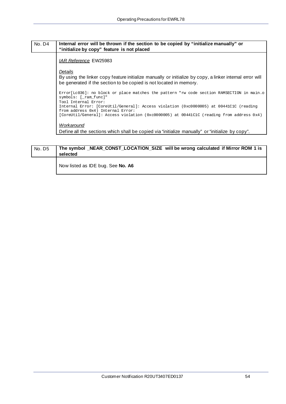#### <span id="page-53-0"></span>No. D4 **Internal error will be thrown if the section to be copied by "initialize manually" or "initialize by copy" feature is not placed**

#### *IAR Reference* EW25983

#### *Details*

By using the linker copy feature initialize manually or initialize by copy, a linker internal error will be generated if the section to be copied is not located in memory.

Error[Lc036]: no block or place matches the pattern "rw code section RAMSECTION in main.o symbols: [\_ram\_func]" Tool Internal Error: Internal Error: [CoreUtil/General]: Access violation (0xc0000005) at 00441C1C (reading from address 0x4) Internal Error: [CoreUtil/General]: Access violation (0xc0000005) at 00441C1C (reading from address 0x4)

#### *Workaround*

Define all the sections which shall be copied via "initialize manually" or "initialize by copy".

#### No. D5 **The symbol \_NEAR\_CONST\_LOCATION\_SIZE will be wrong calculated if Mirror ROM 1 is selected**

Now listed as IDE bug. See **[No. A6](#page-15-0)**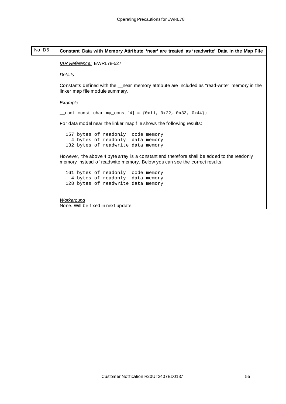<span id="page-54-0"></span>

| No. D6 | Constant Data with Memory Attribute 'near' are treated as 'readwrite' Data in the Map File                                                                               |
|--------|--------------------------------------------------------------------------------------------------------------------------------------------------------------------------|
|        | <b>IAR Reference: EWRL78-527</b>                                                                                                                                         |
|        | Details                                                                                                                                                                  |
|        | Constants defined with the __near memory attribute are included as "read-write" memory in the<br>linker map file module summary.                                         |
|        | Example:                                                                                                                                                                 |
|        | _root const char my_const[4] = $\{0x11, 0x22, 0x33, 0x44\}$                                                                                                              |
|        | For data model near the linker map file shows the following results:                                                                                                     |
|        | 157 bytes of readonly code memory<br>4 bytes of readonly data memory<br>132 bytes of readwrite data memory                                                               |
|        | However, the above 4 byte array is a constant and therefore shall be added to the readonly<br>memory instead of readwrite memory. Below you can see the correct results: |
|        | 161 bytes of readonly code memory<br>4 bytes of readonly data memory<br>128 bytes of readwrite data memory                                                               |
|        | Workaround<br>None. Will be fixed in next update.                                                                                                                        |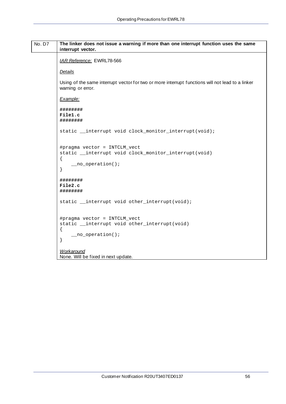<span id="page-55-0"></span>

| No. D7 | The linker does not issue a warning if more than one interrupt function uses the same<br>interrupt vector.                       |
|--------|----------------------------------------------------------------------------------------------------------------------------------|
|        | <b>IAR Reference: EWRL78-566</b>                                                                                                 |
|        | <b>Details</b>                                                                                                                   |
|        | Using of the same interrupt vector for two or more interrupt functions will not lead to a linker<br>warning or error.            |
|        | Example:                                                                                                                         |
|        | ########<br>File1.c<br>########                                                                                                  |
|        | static __interrupt void clock_monitor_interrupt(void);                                                                           |
|        | #pragma vector = INTCLM_vect<br>static __interrupt void clock_monitor_interrupt(void)<br>$\{$<br>$\text{p}$ no operation();<br>} |
|        | ########<br>File2.c<br>########                                                                                                  |
|        | static __interrupt void other_interrupt(void);                                                                                   |
|        | #pragma vector = INTCLM_vect<br>static __interrupt void other_interrupt(void)<br>$\{$<br>$\text{1}$ no operation();<br>}         |
|        | <b>Workaround</b><br>None. Will be fixed in next update.                                                                         |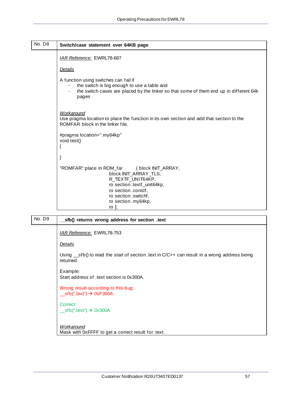<span id="page-56-0"></span>

| No. D8 | Switch/case statement over 64KB page                                                                                                                                                                      |
|--------|-----------------------------------------------------------------------------------------------------------------------------------------------------------------------------------------------------------|
|        | IAR Reference: EWRL78-687                                                                                                                                                                                 |
|        | <b>Details</b>                                                                                                                                                                                            |
|        | A function using switches can fail if<br>the switch is big enough to use a table and<br>the switch cases are placed by the linker so that some of them end up in different 64k<br>$\blacksquare$<br>pages |
|        | <b>Workaround</b><br>Use pragma location to place the function in its own section and add that section to the<br>ROMFAR block in the linker file.                                                         |
|        | #pragma location=".my64kp"<br>void test()<br>{                                                                                                                                                            |
|        | }                                                                                                                                                                                                         |
|        | "ROMFAR":place in ROM_far { block INIT_ARRAY,<br>block INIT_ARRAY_TLS,<br>R_TEXTF_UNIT64KP,<br>ro section .textf_unit64kp,<br>ro section .constf,<br>ro section .switchf,<br>ro section .my64kp,<br>ro }; |

| No. D9 | sfb() returns wrong address for section .text                                                                   |
|--------|-----------------------------------------------------------------------------------------------------------------|
|        | <b>IAR Reference: EWRL78-753</b>                                                                                |
|        | <b>Details</b>                                                                                                  |
|        | Using $\_$ sfb() to read the start of section .text in $C/C++$ can result in a wrong address being<br>returned. |
|        | Example:<br>Start address of text section is 0x300A.                                                            |
|        | Wrong result according to this bug:<br>$\text{sfb}$ (".text") $\rightarrow$ 0xF300A                             |
|        | Correct:<br>$\text{Istb}("text") \rightarrow 0x300A$                                                            |
|        | <b>Workaround</b><br>Mask with 0xFFFF to get a correct result for .text.                                        |
|        |                                                                                                                 |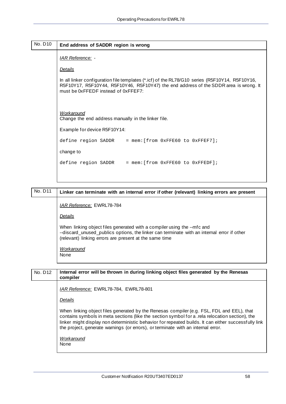<span id="page-57-0"></span>

| No. D10 | End address of SADDR region is wrong                                                                                                                                                                                           |  |  |  |
|---------|--------------------------------------------------------------------------------------------------------------------------------------------------------------------------------------------------------------------------------|--|--|--|
|         | <u>IAR Reference:</u> -                                                                                                                                                                                                        |  |  |  |
|         | <b>Details</b>                                                                                                                                                                                                                 |  |  |  |
|         | In all linker configuration file templates (*.icf) of the RL78/G10 series (R5F10Y14, R5F10Y16,<br>R5F10Y17, R5F10Y44, R5F10Y46, R5F10Y47) the end address of the SDDR area is wrong. It<br>must be 0xFFEDF instead of 0xFFEF7: |  |  |  |
|         | <b>Workaround</b><br>Change the end address manually in the linker file.                                                                                                                                                       |  |  |  |
|         | Example for device R5F10Y14:                                                                                                                                                                                                   |  |  |  |
|         | define region SADDR = $mem:[from 0xFFE60 to 0xFFEF7];$                                                                                                                                                                         |  |  |  |
|         | change to                                                                                                                                                                                                                      |  |  |  |
|         | define region SADDR = mem: [from 0xFFE60 to 0xFFEDF];                                                                                                                                                                          |  |  |  |
|         |                                                                                                                                                                                                                                |  |  |  |

| No. D11 | Linker can terminate with an internal error if other (relevant) linking errors are present                                                                                                                                                                                                                                                                                               |
|---------|------------------------------------------------------------------------------------------------------------------------------------------------------------------------------------------------------------------------------------------------------------------------------------------------------------------------------------------------------------------------------------------|
|         | <b>IAR Reference: EWRL78-784</b>                                                                                                                                                                                                                                                                                                                                                         |
|         | <b>Details</b>                                                                                                                                                                                                                                                                                                                                                                           |
|         | When linking object files generated with a compiler using the --mfc and<br>--discard_unused_publics options, the linker can terminate with an internal error if other<br>(relevant) linking errors are present at the same time                                                                                                                                                          |
|         | <b>Workaround</b><br>None                                                                                                                                                                                                                                                                                                                                                                |
|         |                                                                                                                                                                                                                                                                                                                                                                                          |
|         |                                                                                                                                                                                                                                                                                                                                                                                          |
| No. D12 | Internal error will be thrown in during linking object files generated by the Renesas                                                                                                                                                                                                                                                                                                    |
|         | compiler<br>IAR Reference: EWRL78-784, EWRL78-801                                                                                                                                                                                                                                                                                                                                        |
|         | <b>Details</b>                                                                                                                                                                                                                                                                                                                                                                           |
|         | When linking object files generated by the Renesas compiler (e.g. FSL, FDL and EEL), that<br>contains symbols in meta sections (like the section symbol for a .rela relocation section), the<br>linker might display non deterministic behavior for repeated builds. It can either successfully link<br>the project, generate warnings (or errors), or terminate with an internal error. |

None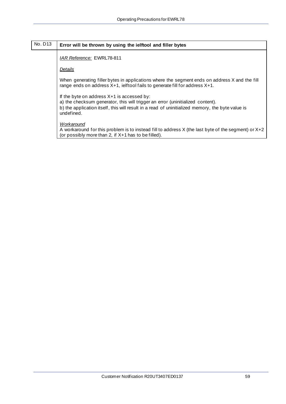## No. D13 **Error will be thrown by using the ielftool and filler bytes**

*IAR Reference:* EWRL78-811

*Details*

When generating filler bytes in applications where the segment ends on address X and the fill range ends on address X+1, ielftool fails to generate fill for address X+1.

If the byte on address X+1 is accessed by:

a) the checksum generator, this will trigger an error (uninitialized content).

b) the application itself, this will result in a read of uninitialized memory, the byte value is undefined.

*Workaround*

A workaround for this problem is to instead fill to address X (the last byte of the segment) or X+2 (or possibly more than 2, if X+1 has to be filled).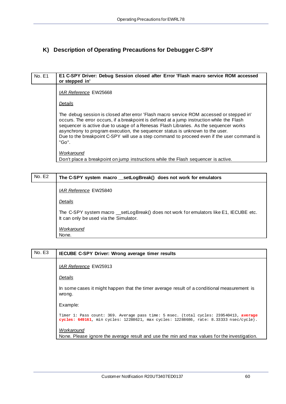### <span id="page-59-0"></span>**K) Description of Operating Precautions for Debugger C-SPY**

| No. E1 | E1 C-SPY Driver: Debug Session closed after Error 'Flash macro service ROM accessed<br>or stepped in'                                                                                                                                                                                                                                                                                                                                                                   |
|--------|-------------------------------------------------------------------------------------------------------------------------------------------------------------------------------------------------------------------------------------------------------------------------------------------------------------------------------------------------------------------------------------------------------------------------------------------------------------------------|
|        | <b>IAR Reference EW25668</b>                                                                                                                                                                                                                                                                                                                                                                                                                                            |
|        | <u>Details</u>                                                                                                                                                                                                                                                                                                                                                                                                                                                          |
|        | The debug session is closed after error 'Flash macro service ROM accessed or stepped in'<br>occurs. The error occurs, if a breakpoint is defined at a jump instruction while the Flash<br>sequencer is active due to usage of a Renesas Flash Libraries. As the sequencer works<br>asynchrony to program execution, the sequencer status is unknown to the user.<br>Due to the breakpoint C-SPY will use a step command to proceed even if the user command is<br>"Go". |
|        | <b>Workaround</b><br>Don't place a breakpoint on jump instructions while the Flash sequencer is active.                                                                                                                                                                                                                                                                                                                                                                 |
|        |                                                                                                                                                                                                                                                                                                                                                                                                                                                                         |

| No. E2 | The C-SPY system macro __ setLogBreak() does not work for emulators                                                              |
|--------|----------------------------------------------------------------------------------------------------------------------------------|
|        | IAR Reference EW25840                                                                                                            |
|        | Details                                                                                                                          |
|        | The C-SPY system macro _setLogBreak() does not work for emulators like E1, IECUBE etc.<br>It can only be used via the Simulator. |
|        | Workaround                                                                                                                       |
|        | None.                                                                                                                            |

### No. E3 **IECUBE C-SPY Driver: Wrong average timer results**

*IAR Reference* EW25913

*Details*

In some cases it might happen that the timer average result of a conditional measurement is wrong.

Example:

```
Timer 1: Pass count: 369. Average pass time: 5 msec. (total cycles: 239540413, average 
cycles: 649161, min cycles: 12288621, max cycles: 12288686, rate: 8.33333 nsec/cycle).
```
*Workaround*

None. Please ignore the average result and use the min and max values for the investigation.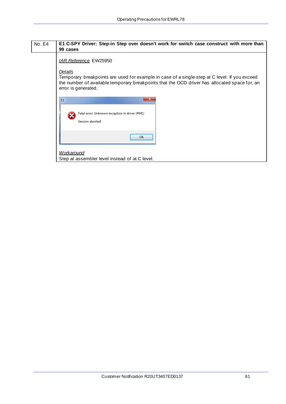<span id="page-60-0"></span>

| No. E4 | E1 C-SPY Driver: Step-in Step over doesn't work for switch case construct with more than                                                                                                                                                                         |
|--------|------------------------------------------------------------------------------------------------------------------------------------------------------------------------------------------------------------------------------------------------------------------|
|        | 99 cases                                                                                                                                                                                                                                                         |
|        | <b>IAR Reference EW25950</b><br>Details<br>Temporary breakpoints are used for example in case of a single-step at C level. If you exceed<br>the number of available temporary breakpoints that the OCD driver has allocated space for, an<br>error is generated. |
|        | $\mathbf{x}$<br>E1                                                                                                                                                                                                                                               |
|        | Fatal error: Unknown exception in driver (#M1)<br>Session aborted!                                                                                                                                                                                               |
|        | OK                                                                                                                                                                                                                                                               |

*Workaround* Step at assembler level instead of at C level.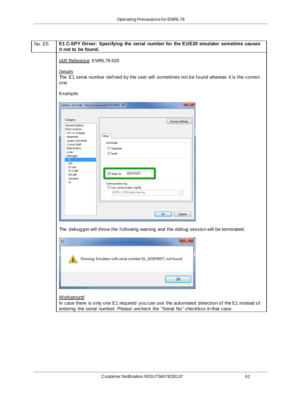<span id="page-61-0"></span>

| <b>No. E5</b> | E1 C-SPY Driver: Specifying the serial number for the E1/E20 emulator sometime causes<br>it not to be found.                                                                                                                                                                                                                                                                                                                                                                                                                                                  |
|---------------|---------------------------------------------------------------------------------------------------------------------------------------------------------------------------------------------------------------------------------------------------------------------------------------------------------------------------------------------------------------------------------------------------------------------------------------------------------------------------------------------------------------------------------------------------------------|
|               | <b>IAR Reference EWRL78-520</b><br>Details<br>The E1 serial number defined by the user will sometimes not be found whereas it is the correct                                                                                                                                                                                                                                                                                                                                                                                                                  |
|               | one.<br>Example:                                                                                                                                                                                                                                                                                                                                                                                                                                                                                                                                              |
|               | $\mathbf{x}$<br>Options for node "StartupSampleQB-R5F100LE-TB"<br>Category:<br>Factory Settings<br><b>General Options</b><br><b>Static Analysis</b><br>$C/C++$ Compiler<br>Setup<br>Assembler<br><b>Output Converter</b><br>Download<br><b>Custom Build</b><br><b>Build Actions</b><br>Suppress<br>Linker<br><b>Nerify</b><br>Debugger<br>E1<br>E20<br>E <sub>2</sub> Lite<br>EZ-CUBE<br>5DS07647C<br><b>V</b> Serial No<br><b>IECUBE</b><br>Simulator<br>тк<br>Communication log<br>Use communication log file:<br>\$PROJ_DIR\$\cspycomm.log<br>OK<br>Cancel |
|               | The debugger will throw the following warning and the debug session will be terminated.<br>x                                                                                                                                                                                                                                                                                                                                                                                                                                                                  |
|               | E1<br>Warning: Emulator with serial number E1:_5DS07647C not found                                                                                                                                                                                                                                                                                                                                                                                                                                                                                            |
|               | OK                                                                                                                                                                                                                                                                                                                                                                                                                                                                                                                                                            |
|               | <b>Workaround</b><br>In case there is only one E1 required you can use the automated detection of the E1 instead of<br>entering the serial number. Please uncheck the "Serial No" checkbox in that case.                                                                                                                                                                                                                                                                                                                                                      |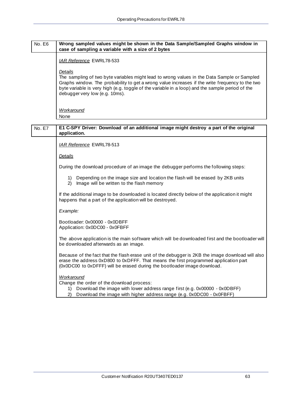#### <span id="page-62-0"></span>No. E6 **Wrong sampled values might be shown in the Data Sample/Sampled Graphs window in case of sampling a variable with a size of 2 bytes**

*IAR Reference* EWRL78-533

#### *Details*

The sampling of two byte variables might lead to wrong values in the Data Sample or Sampled Graphs window. The probability to get a wrong value increases if the write frequency to the two byte variable is very high (e.g. toggle of the variable in a loop) and the sample period of the debugger very low (e.g. 10ms).

*Workaround* None

No. E7 **E1 C-SPY Driver: Download of an additional image might destroy a part of the original application.**

*IAR Reference* EWRL78-513

*Details*

During the download procedure of an image the debugger performs the following steps:

- 1) Depending on the image size and location the flash will be erased by 2KB units
- 2) Image will be written to the flash memory

If the additional image to be downloaded is located directly below of the application it might happens that a part of the application will be destroyed.

*Example:* 

Bootloader: 0x00000 - 0x0DBFF Application: 0x0DC00 - 0x0FBFF

The above application is the main software which will be downloaded first and the bootloader will be downloaded afterwards as an image.

Because of the fact that the flash erase unit of the debugger is 2KB the image download will also erase the address 0xD800 to 0xDFFF. That means the first programmed application part (0x0DC00 to 0xDFFF) will be erased during the bootloader image download.

#### *Workaround*

Change the order of the download process:

- 1) Download the image with lower address range first (e.g. 0x00000 0x0DBFF)
- 2) Download the image with higher address range (e.g. 0x0DC00 0x0FBFF)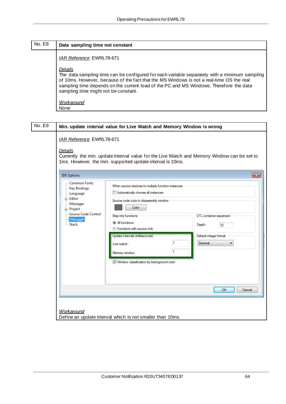<span id="page-63-0"></span>

| No. E8 | Data sampling time not constant                                                                                                                                                                                                                                                                                                        |  |  |
|--------|----------------------------------------------------------------------------------------------------------------------------------------------------------------------------------------------------------------------------------------------------------------------------------------------------------------------------------------|--|--|
|        | <b>IAR Reference EWRL78-671</b>                                                                                                                                                                                                                                                                                                        |  |  |
|        | Details<br>The data sampling time can be configured for each variable separately with a minimum sampling<br>of 10ms. However, because of the fact that the MS Windows is not a real-time OS the real<br>sampling time depends on the current load of the PC and MS Windows. Therefore the data<br>sampling time might not be constant. |  |  |
|        | Workaround<br>None                                                                                                                                                                                                                                                                                                                     |  |  |

| No. E9 | Min. update interval value for Live Watch and Memory Window is wrong                                                                                                                                                                                                                                                                                                                                                                                                                                                 |                                                                                                                                                          |                                                                              |
|--------|----------------------------------------------------------------------------------------------------------------------------------------------------------------------------------------------------------------------------------------------------------------------------------------------------------------------------------------------------------------------------------------------------------------------------------------------------------------------------------------------------------------------|----------------------------------------------------------------------------------------------------------------------------------------------------------|------------------------------------------------------------------------------|
|        | IAR Reference EWRL78-671<br>Details                                                                                                                                                                                                                                                                                                                                                                                                                                                                                  | Currently the min. update interval value for the Live Watch and Memory Window can be set to<br>1ms. However, the min. supported update interval is 10ms. |                                                                              |
|        | <b>IDE Options</b>                                                                                                                                                                                                                                                                                                                                                                                                                                                                                                   |                                                                                                                                                          | $\mathbf{x}$                                                                 |
|        | <b>Common Fonts</b><br>When source resolves to multiple function instances<br><b>Key Bindings</b><br>Automatically choose all instances<br>Language<br>中 Editor<br>Source code color in disassembly window<br>- Messages<br>Color<br><b>E</b> -Project<br>Source Code Control<br>Step into functions<br><b>Debugger</b><br>All functions<br>Stack<br><b>Eunctions with source only</b><br>Update intervals (milliseconds)<br>1.<br>Live watch:<br>1<br>Memory window:<br>V Window classification by background color |                                                                                                                                                          | STL container expansion<br>Depth:<br>10<br>Default integer format<br>Decimal |
|        |                                                                                                                                                                                                                                                                                                                                                                                                                                                                                                                      |                                                                                                                                                          | OK<br>Cancel                                                                 |
|        | Workaround                                                                                                                                                                                                                                                                                                                                                                                                                                                                                                           | Define an update interval which is not smaller than 10ms.                                                                                                |                                                                              |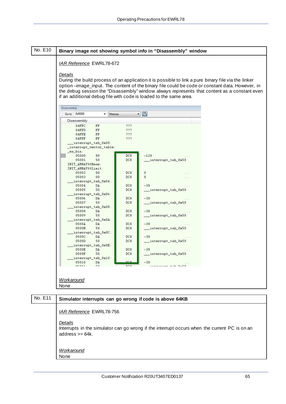#### <span id="page-64-0"></span>No. E10 **Binary image not showing symbol info in "Disassembly" window** *IAR Reference* EWRL78-672 *Details* During the build process of an application it is possible to link a pure binary file via the linker option –image\_input. The content of the binary file could be code or constant data. However, in the debug session the "Disassembly" window always represents that content as a constant even if an additional debug file with code is loaded to the same area. Disassembly Go to 0x5000  $\overline{\phantom{a}}$  Memory  $\blacksquare$ Disassembly 04FFC  $FF$  $777$ 04FFD  $FF$  $777$ 04FFE  $222$ FF 04FFF  $FF$ 222 interrupt\_tab\_0x00: \_interrupt\_vector\_table ny bin: 05000 80 DC<sub>8</sub>  $-128$ 05001 50 DC8  ${\bf \_}interrupt\_tab\_0x50$ INIT\_ARRAY\$\$Base: INIT\_ARRAY\$\$Limit: 05002  $00$ DC8  $\mathbf{0}$  $\sim$ 05003  $00$ DC8  $\mathbf{0}$  $\cdots$ interrupt\_tab\_0x04: 05004 DA DC8  $-38$ 05005 50 DC8 \_\_\_interrupt\_tab\_0x50 interrupt\_tab\_0x06: DC8  $-38$ 05006 DÀ 05007  $50$  $DC8$ \_interrupt\_tab\_0x50  $\texttt{interrupt\_tab\_0x08}:$ DC8  $-38$ 05008 **DA** 05009 50 DC8 \_\_interrupt\_tab\_0x50 interrupt\_tab\_0x0A: 0500A DÀ DC8  $-38$ 0500B  $DC8$ 50 interrupt tab 0x50  $interrupt\_tab\_0x0C$ DC8 0500C DÀ  $-38$ 0500D  $50$ DC8 \_\_interrupt\_tab\_0x50 interrupt\_tab\_0x0E: DC8 0500E DÀ  $-38$ 0500F  $50$  $DC8$ \_\_interrupt\_tab\_0x50  $\texttt{interrupt\_tab\_0x10}:$ 05010 DÀ  $-38$ .<br>معده خدم بین onos: r o *Workaround* None

## No. E11 Simulator interrupts can go wrong if code is above 64KB *IAR Reference* EWRL78-756 *Details* Interrupts in the simulator can go wrong if the interrupt occurs when the current PC is on an address >= 64k. *Workaround* None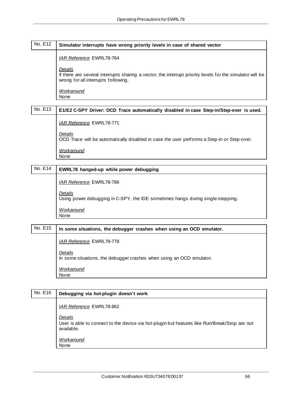<span id="page-65-0"></span>

| No. E12 | Simulator interrupts have wrong priority levels in case of shared vector                                                                                    |  |  |
|---------|-------------------------------------------------------------------------------------------------------------------------------------------------------------|--|--|
|         | <b>IAR Reference EWRL78-764</b>                                                                                                                             |  |  |
|         | Details<br>If there are several interrupts sharing a vector, the interrupt priority levels for the simulator will be<br>wrong for all interrupts following. |  |  |
|         | Workaround                                                                                                                                                  |  |  |
|         | None                                                                                                                                                        |  |  |

## No. E13 | E1/E2 C-SPY Driver: OCD Trace automatically disabled in case Step-in/Step-over is used. *IAR Reference* EWRL78-771 *Details* OCD Trace will be automatically disabled in case the user performs a Step-in or Step-over. *Workaround* None

## No. E14 **EWRL78 hanged-up while power debugging** *IAR Reference* EWRL78-786 *Details* Using power debugging in C-SPY, the IDE sometimes hangs during single-stepping. *Workaround* None

## No. E15 **In some situations, the debugger crashes when using an OCD emulator.** *IAR Reference* EWRL78-778 *Details*

In some situations, the debugger crashes when using an OCD emulator.

*Workaround* None

## No. E16 **Debugging via hot-plugin doesn't work** *IAR Reference* EWRL78-862 *Details* User is able to connect to the device via hot-plugin but features like Run/Break/Stop are not available.

## *Workaround*

None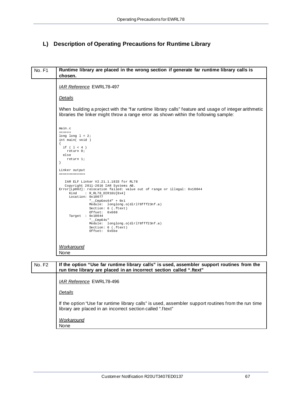## <span id="page-66-0"></span>**L) Description of Operating Precautions for Runtime Library**

| No. F1        | Runtime library are placed in the wrong section if generate far runtime library calls is<br>chosen.                                                                                                                                                                                                                                                                                                                                                |  |  |
|---------------|----------------------------------------------------------------------------------------------------------------------------------------------------------------------------------------------------------------------------------------------------------------------------------------------------------------------------------------------------------------------------------------------------------------------------------------------------|--|--|
|               | <b>IAR Reference EWRL78-497</b>                                                                                                                                                                                                                                                                                                                                                                                                                    |  |  |
|               | <b>Details</b>                                                                                                                                                                                                                                                                                                                                                                                                                                     |  |  |
|               | When building a project with the "far runtime library calls" feature and usage of integer arithmetic<br>libraries the linker might throw a range error as shown within the following sample:                                                                                                                                                                                                                                                       |  |  |
|               | main.c<br>$= 1.122$<br>long long $l = 2i$<br>int main( void )<br>$\left\{ \right.$<br>if $(1 < 4)$<br>return 0;<br>else<br>return 1;<br>}                                                                                                                                                                                                                                                                                                          |  |  |
|               | Linker output<br>------------                                                                                                                                                                                                                                                                                                                                                                                                                      |  |  |
|               | IAR ELF Linker V2.21.1.1833 for RL78<br>Copyright 2011-2016 IAR Systems AB.<br>Error[Lp002]: relocation failed: value out of range or illegal: 0x10044<br>Kind<br>: R_RL78_DIR16U[0x4]<br>Location: 0x10077<br>"__CmpGes64" + $0x1$<br>Module: longlong.o(dlr178fff23nf.a)<br>Section: 6 (.ftext)<br>Offset: 0x608<br>Target : $0x10044$<br>" $_{\rm \_Cmp6\,4s}$ "<br>Module: longlong.o(dlr178fff23nf.a)<br>Section: 6 (.ftext)<br>Offset: 0x5be |  |  |
|               | <b>Workaround</b><br>None                                                                                                                                                                                                                                                                                                                                                                                                                          |  |  |
| <b>No. F2</b> | If the option "Use far runtime library calls" is used, assembler support routines from the<br>run time library are placed in an incorrect section called ".ftext"                                                                                                                                                                                                                                                                                  |  |  |
|               | <b>IAR Reference EWRL78-496</b>                                                                                                                                                                                                                                                                                                                                                                                                                    |  |  |
|               | <b>Details</b>                                                                                                                                                                                                                                                                                                                                                                                                                                     |  |  |
|               | If the option "Use far runtime library calls" is used, assembler support routines from the run time<br>library are placed in an incorrect section called ".ftext"                                                                                                                                                                                                                                                                                  |  |  |
|               | <b>Workaround</b><br>None                                                                                                                                                                                                                                                                                                                                                                                                                          |  |  |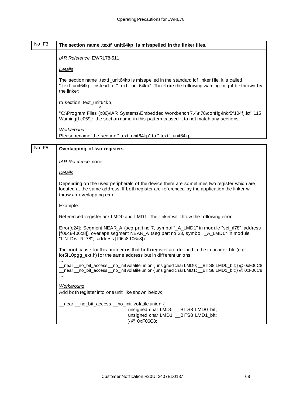# <span id="page-67-0"></span>No. F<sub>3</sub> The section name .textf\_unit64kp\_is misspelled in the linker files. *IAR Reference* EWRL78-511

#### *Details*

The section name .textf\_unit64kp is misspelled in the standard icf linker file. It is called ".text\_unit64kp" instead of ".textf\_unit64kp". Therefore the following warning might be thrown by the linker:

ro section .text\_unit64kp,

^ "C:\Program Files (x86)\IAR Systems\Embedded Workbench 7.4\rl78\config\lnkr5f104fj.icf",115 Warning[Lc059]: the section name in this pattern caused it to not match any sections.

*Workaround*

Please rename the section ".text\_unit64kp" to ".textf\_unit64kp".

### No. F5 **Overlapping of two registers**

*IAR Reference* none

*Details*

Depending on the used peripherals of the device there are sometimes two register which are located at the same address. If both register are referenced by the application the linker will throw an overlapping error.

Example:

Referenced register are LMD0 and LMD1. The linker will throw the following error:

Error[e24]: Segment NEAR\_A (seg part no 7, symbol "\_A\_LMD1" in module "sci\_rl78", address [f06c8-f06c8]) overlaps segment NEAR\_A (seg part no 23, symbol "\_A\_LMD0" in module "LIN\_Drv\_RL78", address [f06c8-f06c8]) .

The root cause for this problem is that both register are defined in the io header file (e.g. ior5f10pgg\_ext.h) for the same address but in different unions:

….. near \_\_no\_bit\_access \_\_no\_init volatile union { unsigned char LMD0; \_\_BITS8 LMD0\_bit; } @ 0xF06C8; \_\_near \_\_no\_bit\_access \_\_no\_init volatile union { unsigned char LMD1; \_\_BITS8 LMD1\_bit; } @ 0xF06C8; …..

#### *Workaround*

Add both register into one unit like shown below:

\_\_near \_\_no\_bit\_access \_\_no\_init volatile union { unsigned char LMD0; \_\_BITS8 LMD0\_bit; unsigned char LMD1; \_\_BITS8 LMD1\_bit; } @ 0xF06C8;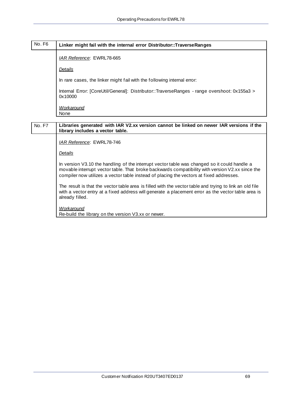## <span id="page-68-0"></span>No. F6 **Linker might fail with the internal error Distributor::TraverseRanges**

*IAR Reference*: EWRL78-665

*Details*

In rare cases, the linker might fail with the following internal error:

Internal Error: [CoreUtil/General]: Distributor::TraverseRanges - range overshoot: 0x155a3 > 0x10000

*Workaround* None

No. F7 **Libraries generated with IAR V2.xx version cannot be linked on newer IAR versions if the library includes a vector table.**

*IAR Reference*: EWRL78-746

*Details*

In version V3.10 the handling of the interrupt vector table was changed so it could handle a movable interrupt vector table. That broke backwards compatibility with version V2.xx since the compiler now utilizes a vector table instead of placing the vectors at fixed addresses.

The result is that the vector table area is filled with the vector table and trying to link an old file with a vector entry at a fixed address will generate a placement error as the vector table area is already filled.

*Workaround*

Re-build the library on the version V3.xx or newer.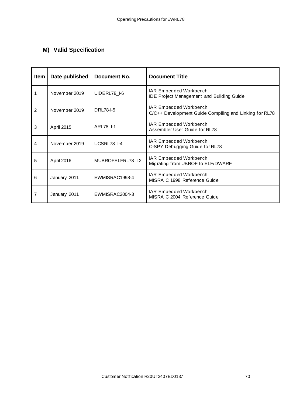## <span id="page-69-0"></span>**M) Valid Specification**

| <b>Item</b> | Date published | Document No.      | <b>Document Title</b>                                                                   |
|-------------|----------------|-------------------|-----------------------------------------------------------------------------------------|
| 1           | November 2019  | UIDERL78 I-6      | <b>IAR Embedded Workbench</b><br><b>IDE Project Management and Building Guide</b>       |
| 2           | November 2019  | DRL78-I-5         | <b>IAR Embedded Workbench</b><br>C/C++ Development Guide Compiling and Linking for RL78 |
| 3           | April 2015     | ARL78 I-1         | <b>IAR Embedded Workbench</b><br>Assembler User Guide for RL78                          |
| 4           | November 2019  | UCSRL78 I-4       | <b>IAR Embedded Workbench</b><br>C-SPY Debugging Guide for RL78                         |
| 5           | April 2016     | MUBROFELFRL78_I.2 | <b>IAR Embedded Workbench</b><br>Migrating from UBROF to ELF/DWARF                      |
| 6           | January 2011   | EWMISRAC1998-4    | <b>IAR Embedded Workbench</b><br>MISRA C 1998 Reference Guide                           |
| 7           | January 2011   | EWMISRAC2004-3    | <b>IAR Embedded Workbench</b><br>MISRA C 2004 Reference Guide                           |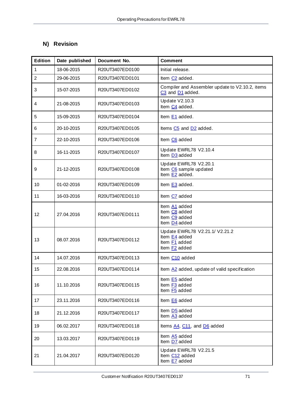## **N) Revision**

| <b>Edition</b> | Date published | Document No.    | <b>Comment</b>                                                                              |
|----------------|----------------|-----------------|---------------------------------------------------------------------------------------------|
| 1              | 18-06-2015     | R20UT3407ED0100 | Initial release.                                                                            |
| $\overline{2}$ | 29-06-2015     | R20UT3407ED0101 | Item C <sub>2</sub> added.                                                                  |
| 3              | 15-07-2015     | R20UT3407ED0102 | Compiler and Assembler update to V2.10.2, items<br>C <sub>3</sub> and D <sub>1</sub> added. |
| 4              | 21-08-2015     | R20UT3407ED0103 | <b>Update V2.10.3</b><br>Item C <sub>4</sub> added.                                         |
| 5              | 15-09-2015     | R20UT3407ED0104 | Item E1 added.                                                                              |
| 6              | 20-10-2015     | R20UT3407ED0105 | Items C5 and D2 added.                                                                      |
| 7              | 22-10-2015     | R20UT3407ED0106 | Item C6 added                                                                               |
| 8              | 16-11-2015     | R20UT3407ED0107 | Update EWRL78 V2.10.4<br>Item D <sub>3</sub> added                                          |
| 9              | 21-12-2015     | R20UT3407ED0108 | Update EWRL78 V2.20.1<br>Item C6 sample updated<br>Item E2 added.                           |
| 10             | 01-02-2016     | R20UT3407ED0109 | Item E3 added.                                                                              |
| 11             | 16-03-2016     | R20UT3407ED0110 | Item C7 added                                                                               |
| 12             | 27.04.2016     | R20UT3407ED0111 | Item A1 added<br>Item C8 added<br>Item C9 added<br>Item D4 added                            |
| 13             | 08.07.2016     | R20UT3407ED0112 | Update EWRL78 V2.21.1/ V2.21.2<br>Item E4 added<br>Item F1 added<br>Item F2 added           |
| 14             | 14.07.2016     | R20UT3407ED0113 | Item C10 added                                                                              |
| 15             | 22.08.2016     | R20UT3407ED0114 | Item $A2$ added, update of valid specification                                              |
| 16             | 11.10.2016     | R20UT3407ED0115 | Item E5 added<br>Item F3 added<br>Item F5 added                                             |
| 17             | 23.11.2016     | R20UT3407ED0116 | Item E6 added                                                                               |
| 18             | 21.12.2016     | R20UT3407ED0117 | Item D <sub>5</sub> added<br>Item A3 added                                                  |
| 19             | 06.02.2017     | R20UT3407ED0118 | Items A4, C11, and D6 added                                                                 |
| 20             | 13.03.2017     | R20UT3407ED0119 | Item A5 added<br>Item D7 added                                                              |
| 21             | 21.04.2017     | R20UT3407ED0120 | Update EWRL78 V2.21.5<br>Item C <sub>12</sub> added<br>Item E7 added                        |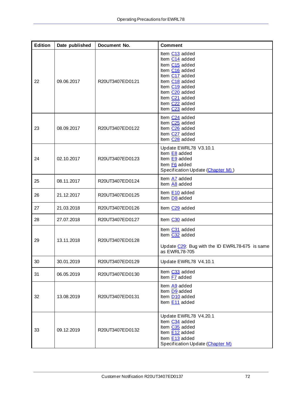| <b>Edition</b> | Date published | Document No.    | <b>Comment</b>                                                                                                                                                                                                                                                                                     |
|----------------|----------------|-----------------|----------------------------------------------------------------------------------------------------------------------------------------------------------------------------------------------------------------------------------------------------------------------------------------------------|
| 22             | 09.06.2017     | R20UT3407ED0121 | Item C13 added<br>Item C14 added<br>Item C <sub>15</sub> added<br>Item C <sub>16</sub> added<br>Item C17 added<br>Item C <sub>18</sub> added<br>Item C <sub>19</sub> added<br>Item C <sub>20</sub> added<br>Item C <sub>21</sub> added<br>Item C <sub>22</sub> added<br>Item C <sub>23</sub> added |
| 23             | 08.09.2017     | R20UT3407ED0122 | Item C <sub>24</sub> added<br>Item C <sub>25</sub> added<br>Item C <sub>26</sub> added<br>Item C <sub>27</sub> added<br>Item C <sub>28</sub> added                                                                                                                                                 |
| 24             | 02.10.2017     | R20UT3407ED0123 | Update EWRL78 V3.10.1<br>Item E8 added<br>Item E9 added<br>Item F6 added<br>Specification Update (Chapter M))                                                                                                                                                                                      |
| 25             | 08.11.2017     | R20UT3407ED0124 | Item A7 added<br>Item A8 added                                                                                                                                                                                                                                                                     |
| 26             | 21.12.2017     | R20UT3407ED0125 | Item E10 added<br>Item D8 added                                                                                                                                                                                                                                                                    |
| 27             | 21.03.2018     | R20UT3407ED0126 | Item C <sub>29</sub> added                                                                                                                                                                                                                                                                         |
| 28             | 27.07.2018     | R20UT3407ED0127 | Item C30 added                                                                                                                                                                                                                                                                                     |
| 29             | 13.11.2018     | R20UT3407ED0128 | Item C31 added<br>Item C32 added<br>Update C29: Bug with the ID EWRL78-675 is same<br>as EWRL78-705                                                                                                                                                                                                |
| 30             | 30.01.2019     | R20UT3407ED0129 | Update EWRL78 V4.10.1                                                                                                                                                                                                                                                                              |
| 31             | 06.05.2019     | R20UT3407ED0130 | Item C33 added<br>Item F7 added                                                                                                                                                                                                                                                                    |
| 32             | 13.08.2019     | R20UT3407ED0131 | Item A9 added<br>Item D9 added<br>Item D <sub>10</sub> added<br>Item E11 added                                                                                                                                                                                                                     |
| 33             | 09.12.2019     | R20UT3407ED0132 | Update EWRL78 V4.20.1<br>Item C34 added<br>Item C35 added<br>Item E12 added<br>Item E13 added<br>Specification Update (Chapter M)                                                                                                                                                                  |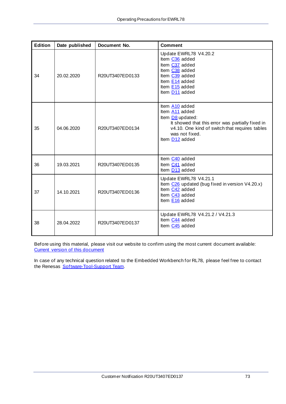| <b>Edition</b> | Date published | Document No.    | <b>Comment</b>                                                                                                                                                                                             |
|----------------|----------------|-----------------|------------------------------------------------------------------------------------------------------------------------------------------------------------------------------------------------------------|
| 34             | 20.02.2020     | R20UT3407ED0133 | Update EWRL78 V4.20.2<br>Item C36 added<br>Item C37 added<br>Item C38 added<br>Item C39 added<br>Item E14 added<br>Item E15 added<br>Item D <sub>11</sub> added                                            |
| 35             | 04.06.2020     | R20UT3407ED0134 | Item A10 added<br>Item A11 added<br>Item D8 updated:<br>It showed that this error was partially fixed in<br>v4.10. One kind of switch that requires tables<br>was not fixed.<br>Item D <sub>12</sub> added |
| 36             | 19.03.2021     | R20UT3407ED0135 | Item C40 added<br>Item C41 added<br>Item D <sub>13</sub> added                                                                                                                                             |
| 37             | 14.10.2021     | R20UT3407ED0136 | Update EWRL78 V4.21.1<br>Item $C26$ updated (bug fixed in version V4.20.x)<br>Item C42 added<br>Item C43 added<br>Item E16 added                                                                           |
| 38             | 28.04.2022     | R20UT3407ED0137 | Update EWRL78 V4.21.2 / V4.21.3<br>Item C <sub>44</sub> added<br>Item C45 added                                                                                                                            |

Before using this material, please visit our website to confirm using the most current document available: Current version [of this document](http://www.renesas.eu/updates?oc=Y-IAR-EWRL78-FULL-MOBILE_V2XX)

In case of any technical question related to the Embedded Workbench for RL78, please feel free to contact the Renesas [Software-Tool-Support Team.](mailto:sw_tool_support-eu@lm.renesas.com?subject=Question%20about%20EWRL78%20Operating%20Precautions%20(R2UT3407EDxxxx))